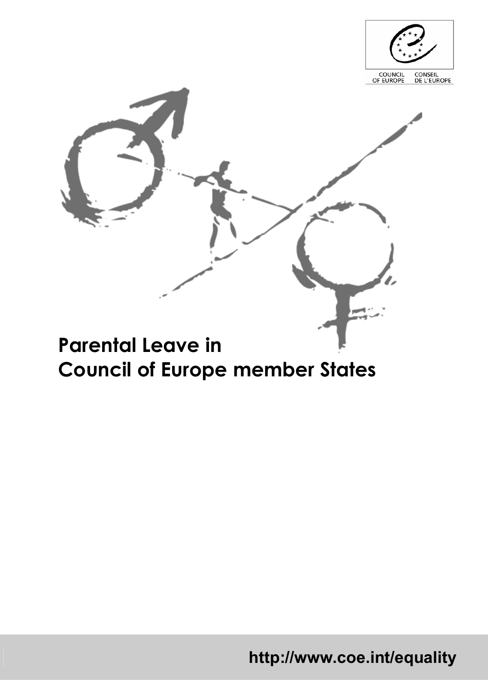

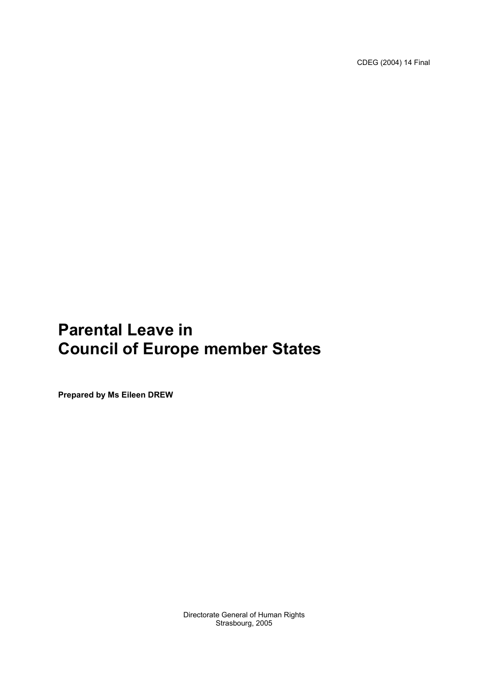CDEG (2004) 14 Final

# **Parental Leave in Council of Europe member States**

**Prepared by Ms Eileen DREW** 

Directorate General of Human Rights Strasbourg, 2005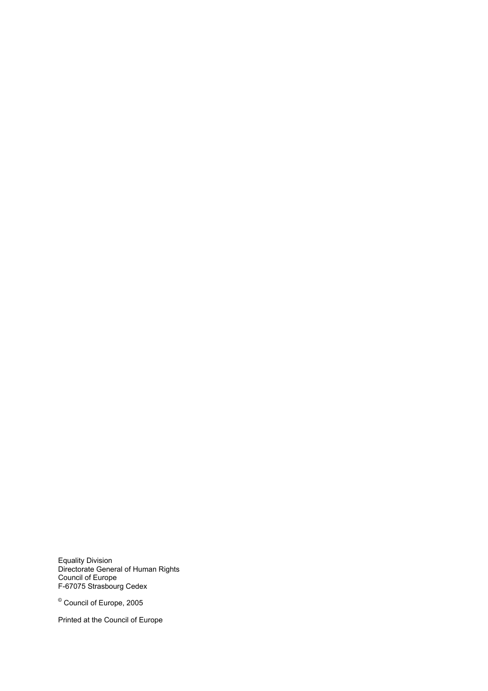Equality Division Directorate General of Human Rights Council of Europe F-67075 Strasbourg Cedex

© Council of Europe, 2005

Printed at the Council of Europe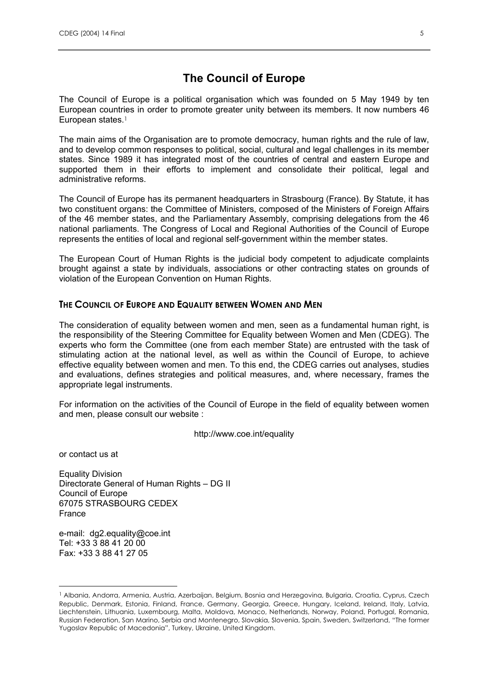# **The Council of Europe**

The Council of Europe is a political organisation which was founded on 5 May 1949 by ten European countries in order to promote greater unity between its members. It now numbers 46 European states.<sup>1</sup>

The main aims of the Organisation are to promote democracy, human rights and the rule of law, and to develop common responses to political, social, cultural and legal challenges in its member states. Since 1989 it has integrated most of the countries of central and eastern Europe and supported them in their efforts to implement and consolidate their political, legal and administrative reforms.

The Council of Europe has its permanent headquarters in Strasbourg (France). By Statute, it has two constituent organs: the Committee of Ministers, composed of the Ministers of Foreign Affairs of the 46 member states, and the Parliamentary Assembly, comprising delegations from the 46 national parliaments. The Congress of Local and Regional Authorities of the Council of Europe represents the entities of local and regional self-government within the member states.

The European Court of Human Rights is the judicial body competent to adjudicate complaints brought against a state by individuals, associations or other contracting states on grounds of violation of the European Convention on Human Rights.

#### **THE COUNCIL OF EUROPE AND EQUALITY BETWEEN WOMEN AND MEN**

The consideration of equality between women and men, seen as a fundamental human right, is the responsibility of the Steering Committee for Equality between Women and Men (CDEG). The experts who form the Committee (one from each member State) are entrusted with the task of stimulating action at the national level, as well as within the Council of Europe, to achieve effective equality between women and men. To this end, the CDEG carries out analyses, studies and evaluations, defines strategies and political measures, and, where necessary, frames the appropriate legal instruments.

For information on the activities of the Council of Europe in the field of equality between women and men, please consult our website :

http://www.coe.int/equality

or contact us at

Equality Division Directorate General of Human Rights – DG II Council of Europe 67075 STRASBOURG CEDEX France

e-mail: dg2.equality@coe.int Tel: +33 3 88 41 20 00 Fax: +33 3 88 41 27 05

<sup>1</sup> Albania, Andorra, Armenia, Austria, Azerbaijan, Belgium, Bosnia and Herzegovina, Bulgaria, Croatia, Cyprus, Czech Republic, Denmark, Estonia, Finland, France, Germany, Georgia, Greece, Hungary, Iceland, Ireland, Italy, Latvia, Liechtenstein, Lithuania, Luxembourg, Malta, Moldova, Monaco, Netherlands, Norway, Poland, Portugal, Romania, Russian Federation, San Marino, Serbia and Montenegro, Slovakia, Slovenia, Spain, Sweden, Switzerland, "The former Yugoslav Republic of Macedonia", Turkey, Ukraine, United Kingdom.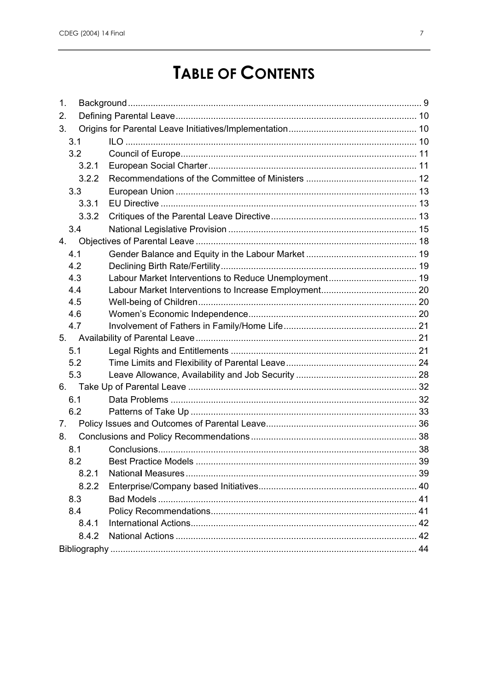# **TABLE OF CONTENTS**

| 1.               |       |                             |    |
|------------------|-------|-----------------------------|----|
| 2.               |       |                             |    |
| 3.               |       |                             |    |
| 3.1              |       |                             |    |
| 3.2              |       |                             |    |
|                  | 3.2.1 |                             |    |
|                  | 3.2.2 |                             |    |
| 3.3 <sub>2</sub> |       |                             |    |
|                  | 3.3.1 |                             |    |
|                  | 3.3.2 |                             |    |
| 3.4              |       |                             |    |
| 4.               |       |                             |    |
| 4.1              |       |                             |    |
| 4.2              |       |                             |    |
| 4.3              |       |                             |    |
| 4.4              |       |                             |    |
| 4.5              |       |                             |    |
| 4.6              |       |                             |    |
| 4.7              |       |                             |    |
| 5.               |       |                             |    |
| 5.1              |       |                             |    |
| 5.2              |       |                             |    |
| 5.3              |       |                             |    |
| 6.               |       |                             |    |
| 6.1              |       |                             |    |
| 6.2              |       |                             |    |
| 7.               |       |                             |    |
| 8.               |       |                             |    |
| 8.1              |       |                             |    |
| 8.2              |       | <b>Best Practice Models</b> | 39 |
|                  | 8.2.1 |                             |    |
|                  | 8.2.2 |                             |    |
| 8.3              |       |                             |    |
| 8.4              |       |                             |    |
|                  | 8.4.1 |                             |    |
|                  | 8.4.2 |                             |    |
|                  |       |                             |    |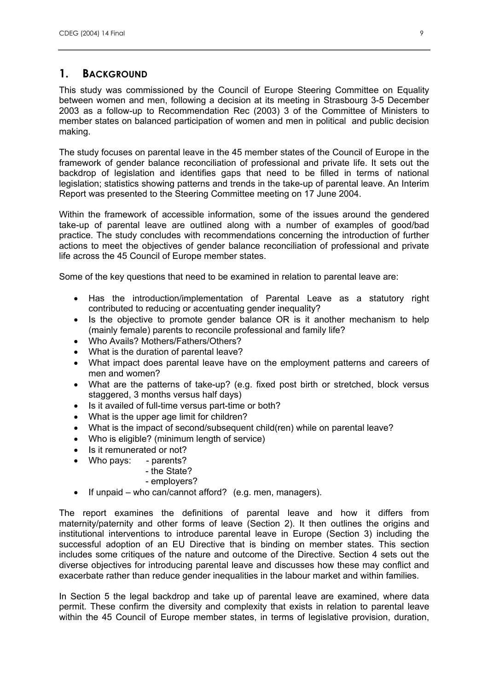# **1. BACKGROUND**

This study was commissioned by the Council of Europe Steering Committee on Equality between women and men, following a decision at its meeting in Strasbourg 3-5 December 2003 as a follow-up to Recommendation Rec (2003) 3 of the Committee of Ministers to member states on balanced participation of women and men in political and public decision making.

The study focuses on parental leave in the 45 member states of the Council of Europe in the framework of gender balance reconciliation of professional and private life. It sets out the backdrop of legislation and identifies gaps that need to be filled in terms of national legislation; statistics showing patterns and trends in the take-up of parental leave. An Interim Report was presented to the Steering Committee meeting on 17 June 2004.

Within the framework of accessible information, some of the issues around the gendered take-up of parental leave are outlined along with a number of examples of good/bad practice. The study concludes with recommendations concerning the introduction of further actions to meet the objectives of gender balance reconciliation of professional and private life across the 45 Council of Europe member states.

Some of the key questions that need to be examined in relation to parental leave are:

- Has the introduction/implementation of Parental Leave as a statutory right contributed to reducing or accentuating gender inequality?
- Is the objective to promote gender balance OR is it another mechanism to help (mainly female) parents to reconcile professional and family life?
- Who Avails? Mothers/Fathers/Others?
- What is the duration of parental leave?
- What impact does parental leave have on the employment patterns and careers of men and women?
- What are the patterns of take-up? (e.g. fixed post birth or stretched, block versus staggered, 3 months versus half days)
- Is it availed of full-time versus part-time or both?
- What is the upper age limit for children?
- What is the impact of second/subsequent child(ren) while on parental leave?
- Who is eligible? (minimum length of service)
- Is it remunerated or not?
- Who pays: parents?
	- the State?
	- employers?
- If unpaid who can/cannot afford? (e.g. men, managers).

The report examines the definitions of parental leave and how it differs from maternity/paternity and other forms of leave (Section 2). It then outlines the origins and institutional interventions to introduce parental leave in Europe (Section 3) including the successful adoption of an EU Directive that is binding on member states. This section includes some critiques of the nature and outcome of the Directive. Section 4 sets out the diverse objectives for introducing parental leave and discusses how these may conflict and exacerbate rather than reduce gender inequalities in the labour market and within families.

In Section 5 the legal backdrop and take up of parental leave are examined, where data permit. These confirm the diversity and complexity that exists in relation to parental leave within the 45 Council of Europe member states, in terms of legislative provision, duration,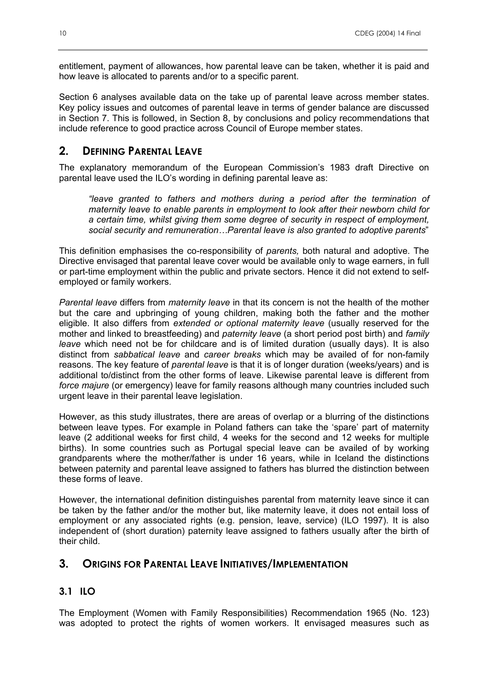entitlement, payment of allowances, how parental leave can be taken, whether it is paid and how leave is allocated to parents and/or to a specific parent.

Section 6 analyses available data on the take up of parental leave across member states. Key policy issues and outcomes of parental leave in terms of gender balance are discussed in Section 7. This is followed, in Section 8, by conclusions and policy recommendations that include reference to good practice across Council of Europe member states.

# **2. DEFINING PARENTAL LEAVE**

The explanatory memorandum of the European Commission's 1983 draft Directive on parental leave used the ILO's wording in defining parental leave as:

*"leave granted to fathers and mothers during a period after the termination of maternity leave to enable parents in employment to look after their newborn child for a certain time, whilst giving them some degree of security in respect of employment, social security and remuneration…Parental leave is also granted to adoptive parents*"

This definition emphasises the co-responsibility of *parents,* both natural and adoptive. The Directive envisaged that parental leave cover would be available only to wage earners, in full or part-time employment within the public and private sectors. Hence it did not extend to selfemployed or family workers.

*Parental leave* differs from *maternity leave* in that its concern is not the health of the mother but the care and upbringing of young children, making both the father and the mother eligible. It also differs from *extended or optional maternity leave* (usually reserved for the mother and linked to breastfeeding) and *paternity leave* (a short period post birth) and *family leave* which need not be for childcare and is of limited duration (usually days). It is also distinct from *sabbatical leave* and *career breaks* which may be availed of for non-family reasons. The key feature of *parental leave* is that it is of longer duration (weeks/years) and is additional to/distinct from the other forms of leave. Likewise parental leave is different from *force majure* (or emergency) leave for family reasons although many countries included such urgent leave in their parental leave legislation.

However, as this study illustrates, there are areas of overlap or a blurring of the distinctions between leave types. For example in Poland fathers can take the 'spare' part of maternity leave (2 additional weeks for first child, 4 weeks for the second and 12 weeks for multiple births). In some countries such as Portugal special leave can be availed of by working grandparents where the mother/father is under 16 years, while in Iceland the distinctions between paternity and parental leave assigned to fathers has blurred the distinction between these forms of leave.

However, the international definition distinguishes parental from maternity leave since it can be taken by the father and/or the mother but, like maternity leave, it does not entail loss of employment or any associated rights (e.g. pension, leave, service) (ILO 1997). It is also independent of (short duration) paternity leave assigned to fathers usually after the birth of their child.

# **3. ORIGINS FOR PARENTAL LEAVE INITIATIVES/IMPLEMENTATION**

## **3.1 ILO**

The Employment (Women with Family Responsibilities) Recommendation 1965 (No. 123) was adopted to protect the rights of women workers. It envisaged measures such as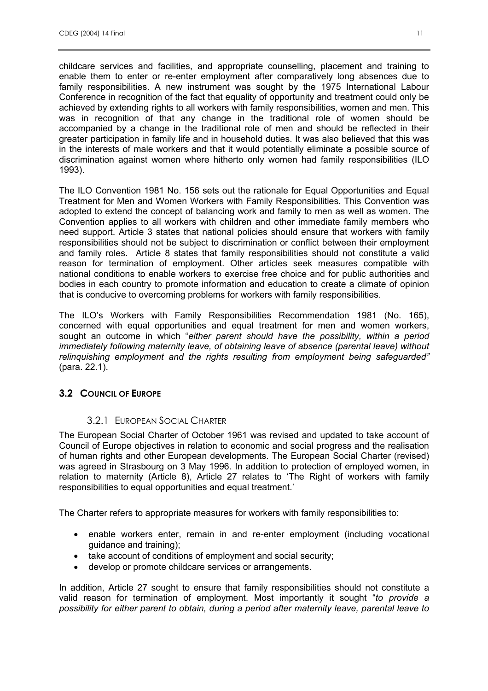childcare services and facilities, and appropriate counselling, placement and training to enable them to enter or re-enter employment after comparatively long absences due to family responsibilities. A new instrument was sought by the 1975 International Labour Conference in recognition of the fact that equality of opportunity and treatment could only be achieved by extending rights to all workers with family responsibilities, women and men. This was in recognition of that any change in the traditional role of women should be accompanied by a change in the traditional role of men and should be reflected in their greater participation in family life and in household duties. It was also believed that this was in the interests of male workers and that it would potentially eliminate a possible source of discrimination against women where hitherto only women had family responsibilities (ILO 1993).

The ILO Convention 1981 No. 156 sets out the rationale for Equal Opportunities and Equal Treatment for Men and Women Workers with Family Responsibilities. This Convention was adopted to extend the concept of balancing work and family to men as well as women. The Convention applies to all workers with children and other immediate family members who need support. Article 3 states that national policies should ensure that workers with family responsibilities should not be subject to discrimination or conflict between their employment and family roles. Article 8 states that family responsibilities should not constitute a valid reason for termination of employment. Other articles seek measures compatible with national conditions to enable workers to exercise free choice and for public authorities and bodies in each country to promote information and education to create a climate of opinion that is conducive to overcoming problems for workers with family responsibilities.

The ILO's Workers with Family Responsibilities Recommendation 1981 (No. 165), concerned with equal opportunities and equal treatment for men and women workers, sought an outcome in which "*either parent should have the possibility, within a period immediately following maternity leave, of obtaining leave of absence (parental leave) without relinquishing employment and the rights resulting from employment being safeguarded"* (para. 22.1).

# **3.2 COUNCIL OF EUROPE**

## 3.2.1 EUROPEAN SOCIAL CHARTER

The European Social Charter of October 1961 was revised and updated to take account of Council of Europe objectives in relation to economic and social progress and the realisation of human rights and other European developments. The European Social Charter (revised) was agreed in Strasbourg on 3 May 1996. In addition to protection of employed women, in relation to maternity (Article 8), Article 27 relates to 'The Right of workers with family responsibilities to equal opportunities and equal treatment.'

The Charter refers to appropriate measures for workers with family responsibilities to:

- enable workers enter, remain in and re-enter employment (including vocational guidance and training);
- take account of conditions of employment and social security;
- develop or promote childcare services or arrangements.

In addition, Article 27 sought to ensure that family responsibilities should not constitute a valid reason for termination of employment. Most importantly it sought "*to provide a possibility for either parent to obtain, during a period after maternity leave, parental leave to*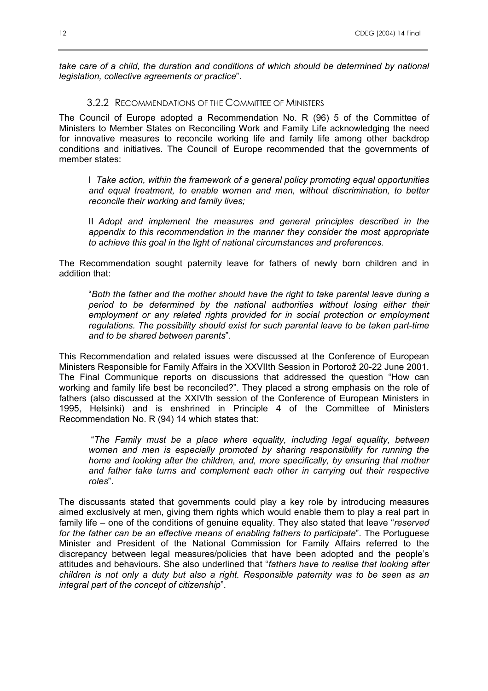*take care of a child, the duration and conditions of which should be determined by national legislation, collective agreements or practice*".

#### 3.2.2 RECOMMENDATIONS OF THE COMMITTEE OF MINISTERS

The Council of Europe adopted a Recommendation No. R (96) 5 of the Committee of Ministers to Member States on Reconciling Work and Family Life acknowledging the need for innovative measures to reconcile working life and family life among other backdrop conditions and initiatives. The Council of Europe recommended that the governments of member states:

I *Take action, within the framework of a general policy promoting equal opportunities and equal treatment, to enable women and men, without discrimination, to better reconcile their working and family lives;* 

II *Adopt and implement the measures and general principles described in the appendix to this recommendation in the manner they consider the most appropriate to achieve this goal in the light of national circumstances and preferences.* 

The Recommendation sought paternity leave for fathers of newly born children and in addition that:

"*Both the father and the mother should have the right to take parental leave during a period to be determined by the national authorities without losing either their employment or any related rights provided for in social protection or employment regulations. The possibility should exist for such parental leave to be taken part-time and to be shared between parents*".

This Recommendation and related issues were discussed at the Conference of European Ministers Responsible for Family Affairs in the XXVIIth Session in Portorož 20-22 June 2001. The Final Communique reports on discussions that addressed the question "How can working and family life best be reconciled?". They placed a strong emphasis on the role of fathers (also discussed at the XXIVth session of the Conference of European Ministers in 1995, Helsinki) and is enshrined in Principle 4 of the Committee of Ministers Recommendation No. R (94) 14 which states that:

 "*The Family must be a place where equality, including legal equality, between women and men is especially promoted by sharing responsibility for running the home and looking after the children, and, more specifically, by ensuring that mother and father take turns and complement each other in carrying out their respective roles*".

The discussants stated that governments could play a key role by introducing measures aimed exclusively at men, giving them rights which would enable them to play a real part in family life – one of the conditions of genuine equality. They also stated that leave "*reserved for the father can be an effective means of enabling fathers to participate*". The Portuguese Minister and President of the National Commission for Family Affairs referred to the discrepancy between legal measures/policies that have been adopted and the people's attitudes and behaviours. She also underlined that "*fathers have to realise that looking after children is not only a duty but also a right. Responsible paternity was to be seen as an integral part of the concept of citizenship*".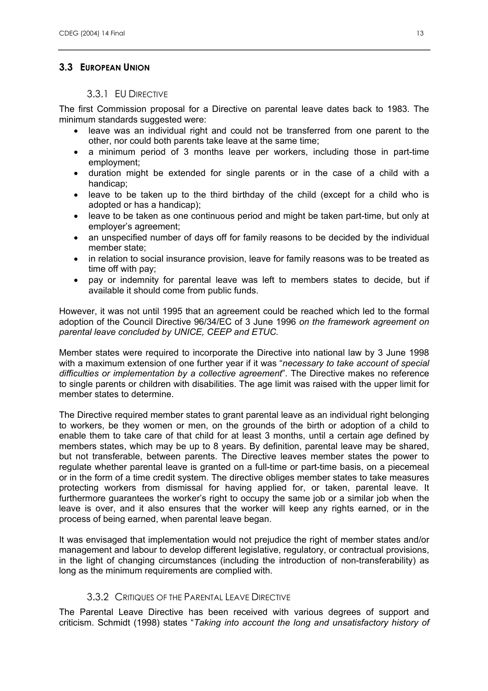## **3.3 EUROPEAN UNION**

#### 3.3.1 EU DIRECTIVE

The first Commission proposal for a Directive on parental leave dates back to 1983. The minimum standards suggested were:

- leave was an individual right and could not be transferred from one parent to the other, nor could both parents take leave at the same time;
- a minimum period of 3 months leave per workers, including those in part-time employment;
- duration might be extended for single parents or in the case of a child with a handicap;
- leave to be taken up to the third birthday of the child (except for a child who is adopted or has a handicap);
- leave to be taken as one continuous period and might be taken part-time, but only at employer's agreement;
- an unspecified number of days off for family reasons to be decided by the individual member state;
- in relation to social insurance provision, leave for family reasons was to be treated as time off with pay;
- pay or indemnity for parental leave was left to members states to decide, but if available it should come from public funds.

However, it was not until 1995 that an agreement could be reached which led to the formal adoption of the Council Directive 96/34/EC of 3 June 1996 *on the framework agreement on parental leave concluded by UNICE, CEEP and ETUC.*

Member states were required to incorporate the Directive into national law by 3 June 1998 with a maximum extension of one further year if it was "*necessary to take account of special difficulties or implementation by a collective agreement*". The Directive makes no reference to single parents or children with disabilities. The age limit was raised with the upper limit for member states to determine.

The Directive required member states to grant parental leave as an individual right belonging to workers, be they women or men, on the grounds of the birth or adoption of a child to enable them to take care of that child for at least 3 months, until a certain age defined by members states, which may be up to 8 years. By definition, parental leave may be shared, but not transferable, between parents. The Directive leaves member states the power to regulate whether parental leave is granted on a full-time or part-time basis, on a piecemeal or in the form of a time credit system. The directive obliges member states to take measures protecting workers from dismissal for having applied for, or taken, parental leave. It furthermore guarantees the worker's right to occupy the same job or a similar job when the leave is over, and it also ensures that the worker will keep any rights earned, or in the process of being earned, when parental leave began.

It was envisaged that implementation would not prejudice the right of member states and/or management and labour to develop different legislative, regulatory, or contractual provisions, in the light of changing circumstances (including the introduction of non-transferability) as long as the minimum requirements are complied with.

## 3.3.2 CRITIQUES OF THE PARENTAL LEAVE DIRECTIVE

The Parental Leave Directive has been received with various degrees of support and criticism. Schmidt (1998) states "*Taking into account the long and unsatisfactory history of*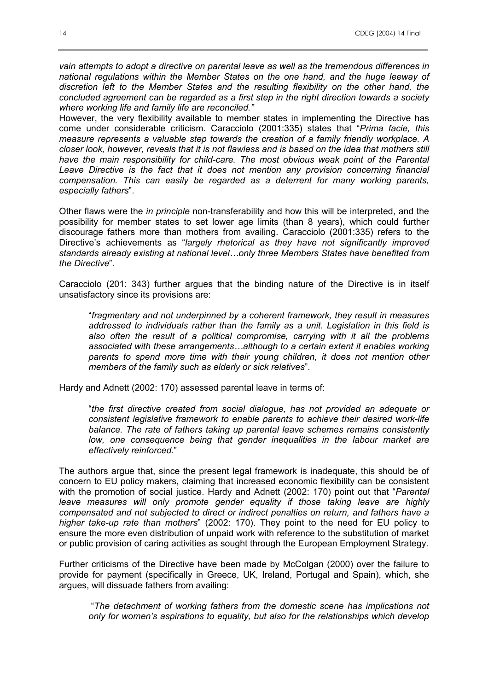*vain attempts to adopt a directive on parental leave as well as the tremendous differences in national regulations within the Member States on the one hand, and the huge leeway of discretion left to the Member States and the resulting flexibility on the other hand, the concluded agreement can be regarded as a first step in the right direction towards a society where working life and family life are reconciled."* 

However, the very flexibility available to member states in implementing the Directive has come under considerable criticism. Caracciolo (2001:335) states that "*Prima facie, this measure represents a valuable step towards the creation of a family friendly workplace. A closer look, however, reveals that it is not flawless and is based on the idea that mothers still have the main responsibility for child-care. The most obvious weak point of the Parental Leave Directive is the fact that it does not mention any provision concerning financial compensation. This can easily be regarded as a deterrent for many working parents, especially fathers*".

Other flaws were the *in principle* non-transferability and how this will be interpreted, and the possibility for member states to set lower age limits (than 8 years), which could further discourage fathers more than mothers from availing. Caracciolo (2001:335) refers to the Directive's achievements as "*largely rhetorical as they have not significantly improved standards already existing at national level…only three Members States have benefited from the Directive*".

Caracciolo (201: 343) further argues that the binding nature of the Directive is in itself unsatisfactory since its provisions are:

"*fragmentary and not underpinned by a coherent framework, they result in measures addressed to individuals rather than the family as a unit. Legislation in this field is also often the result of a political compromise, carrying with it all the problems associated with these arrangements…although to a certain extent it enables working parents to spend more time with their young children, it does not mention other members of the family such as elderly or sick relatives*".

Hardy and Adnett (2002: 170) assessed parental leave in terms of:

"*the first directive created from social dialogue, has not provided an adequate or consistent legislative framework to enable parents to achieve their desired work-life balance. The rate of fathers taking up parental leave schemes remains consistently low, one consequence being that gender inequalities in the labour market are effectively reinforced*."

The authors argue that, since the present legal framework is inadequate, this should be of concern to EU policy makers, claiming that increased economic flexibility can be consistent with the promotion of social justice. Hardy and Adnett (2002: 170) point out that "*Parental leave measures will only promote gender equality if those taking leave are highly compensated and not subjected to direct or indirect penalties on return, and fathers have a higher take-up rate than mothers*" (2002: 170). They point to the need for EU policy to ensure the more even distribution of unpaid work with reference to the substitution of market or public provision of caring activities as sought through the European Employment Strategy.

Further criticisms of the Directive have been made by McColgan (2000) over the failure to provide for payment (specifically in Greece, UK, Ireland, Portugal and Spain), which, she argues, will dissuade fathers from availing:

 "*The detachment of working fathers from the domestic scene has implications not only for women's aspirations to equality, but also for the relationships which develop*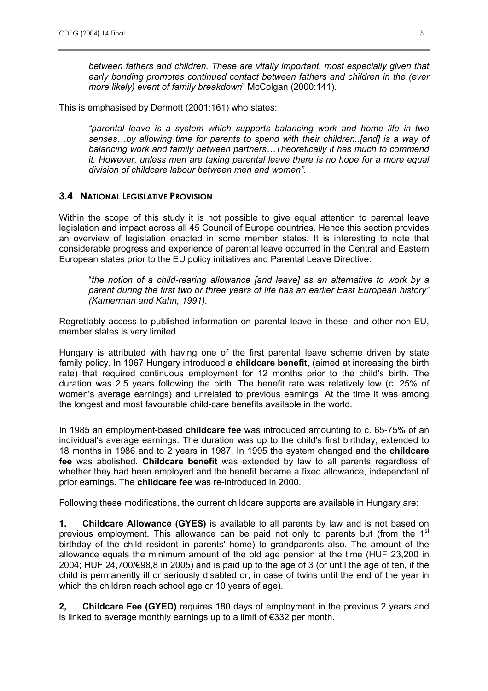*between fathers and children. These are vitally important, most especially given that early bonding promotes continued contact between fathers and children in the (ever more likely) event of family breakdown*" McColgan (2000:141).

This is emphasised by Dermott (2001:161) who states:

*"parental leave is a system which supports balancing work and home life in two senses…by allowing time for parents to spend with their children..[and] is a way of balancing work and family between partners…Theoretically it has much to commend it. However, unless men are taking parental leave there is no hope for a more equal division of childcare labour between men and women".* 

## **3.4 NATIONAL LEGISLATIVE PROVISION**

Within the scope of this study it is not possible to give equal attention to parental leave legislation and impact across all 45 Council of Europe countries. Hence this section provides an overview of legislation enacted in some member states. It is interesting to note that considerable progress and experience of parental leave occurred in the Central and Eastern European states prior to the EU policy initiatives and Parental Leave Directive:

"*the notion of a child-rearing allowance [and leave] as an alternative to work by a parent during the first two or three years of life has an earlier East European history" (Kamerman and Kahn, 1991).* 

Regrettably access to published information on parental leave in these, and other non-EU, member states is very limited.

Hungary is attributed with having one of the first parental leave scheme driven by state family policy. In 1967 Hungary introduced a **childcare benefit**, (aimed at increasing the birth rate) that required continuous employment for 12 months prior to the child's birth. The duration was 2.5 years following the birth. The benefit rate was relatively low (c. 25% of women's average earnings) and unrelated to previous earnings. At the time it was among the longest and most favourable child-care benefits available in the world.

In 1985 an employment-based **childcare fee** was introduced amounting to c. 65-75% of an individual's average earnings. The duration was up to the child's first birthday, extended to 18 months in 1986 and to 2 years in 1987. In 1995 the system changed and the **childcare fee** was abolished. **Childcare benefit** was extended by law to all parents regardless of whether they had been employed and the benefit became a fixed allowance, independent of prior earnings. The **childcare fee** was re-introduced in 2000.

Following these modifications, the current childcare supports are available in Hungary are:

**1. Childcare Allowance (GYES)** is available to all parents by law and is not based on previous employment. This allowance can be paid not only to parents but (from the  $1<sup>st</sup>$ birthday of the child resident in parents' home) to grandparents also. The amount of the allowance equals the minimum amount of the old age pension at the time (HUF 23,200 in 2004; HUF 24,700/€98,8 in 2005) and is paid up to the age of 3 (or until the age of ten, if the child is permanently ill or seriously disabled or, in case of twins until the end of the year in which the children reach school age or 10 years of age).

**2, Childcare Fee (GYED)** requires 180 days of employment in the previous 2 years and is linked to average monthly earnings up to a limit of €332 per month.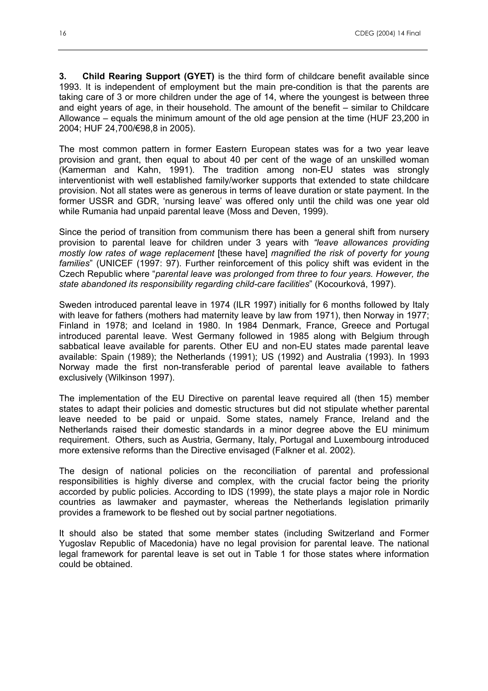**3. Child Rearing Support (GYET)** is the third form of childcare benefit available since 1993. It is independent of employment but the main pre-condition is that the parents are taking care of 3 or more children under the age of 14, where the youngest is between three and eight years of age, in their household. The amount of the benefit – similar to Childcare Allowance – equals the minimum amount of the old age pension at the time (HUF 23,200 in 2004; HUF 24,700/€98,8 in 2005).

The most common pattern in former Eastern European states was for a two year leave provision and grant, then equal to about 40 per cent of the wage of an unskilled woman (Kamerman and Kahn, 1991). The tradition among non-EU states was strongly interventionist with well established family/worker supports that extended to state childcare provision. Not all states were as generous in terms of leave duration or state payment. In the former USSR and GDR, 'nursing leave' was offered only until the child was one year old while Rumania had unpaid parental leave (Moss and Deven, 1999).

Since the period of transition from communism there has been a general shift from nursery provision to parental leave for children under 3 years with *"leave allowances providing mostly low rates of wage replacement* [these have] *magnified the risk of poverty for young families*" (UNICEF (1997: 97). Further reinforcement of this policy shift was evident in the Czech Republic where "*parental leave was prolonged from three to four years. However, the state abandoned its responsibility regarding child-care facilities*" (Kocourková, 1997).

Sweden introduced parental leave in 1974 (ILR 1997) initially for 6 months followed by Italy with leave for fathers (mothers had maternity leave by law from 1971), then Norway in 1977; Finland in 1978; and Iceland in 1980. In 1984 Denmark, France, Greece and Portugal introduced parental leave. West Germany followed in 1985 along with Belgium through sabbatical leave available for parents. Other EU and non-EU states made parental leave available: Spain (1989); the Netherlands (1991); US (1992) and Australia (1993). In 1993 Norway made the first non-transferable period of parental leave available to fathers exclusively (Wilkinson 1997).

The implementation of the EU Directive on parental leave required all (then 15) member states to adapt their policies and domestic structures but did not stipulate whether parental leave needed to be paid or unpaid. Some states, namely France, Ireland and the Netherlands raised their domestic standards in a minor degree above the EU minimum requirement. Others, such as Austria, Germany, Italy, Portugal and Luxembourg introduced more extensive reforms than the Directive envisaged (Falkner et al. 2002).

The design of national policies on the reconciliation of parental and professional responsibilities is highly diverse and complex, with the crucial factor being the priority accorded by public policies. According to IDS (1999), the state plays a major role in Nordic countries as lawmaker and paymaster, whereas the Netherlands legislation primarily provides a framework to be fleshed out by social partner negotiations.

It should also be stated that some member states (including Switzerland and Former Yugoslav Republic of Macedonia) have no legal provision for parental leave. The national legal framework for parental leave is set out in Table 1 for those states where information could be obtained.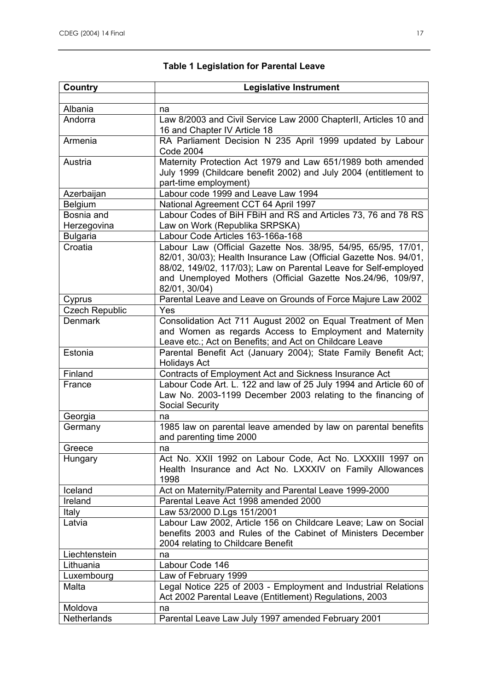#### **Country Legislative Instrument**  Albania ang Ina Andorra Law 8/2003 and Civil Service Law 2000 ChapterII, Articles 10 and 16 and Chapter IV Article 18 Armenia **RA Parliament Decision N 235 April 1999 updated by Labour** Code 2004 Austria Maternity Protection Act 1979 and Law 651/1989 both amended July 1999 (Childcare benefit 2002) and July 2004 (entitlement to part-time employment) Azerbaijan Labour code 1999 and Leave Law 1994 Belgium National Agreement CCT 64 April 1997 Bosnia and **Herzegovina** Labour Codes of BiH FBiH and RS and Articles 73, 76 and 78 RS Law on Work (Republika SRPSKA) Bulgaria Labour Code Articles 163-166a-168 Croatia Labour Law (Official Gazette Nos. 38/95, 54/95, 65/95, 17/01, 82/01, 30/03); Health Insurance Law (Official Gazette Nos. 94/01, 88/02, 149/02, 117/03); Law on Parental Leave for Self-employed and Unemployed Mothers (Official Gazette Nos.24/96, 109/97, 82/01, 30/04) Cyprus **Parental Leave and Leave on Grounds of Force Majure Law 2002** Czech Republic Yes Denmark Consolidation Act 711 August 2002 on Equal Treatment of Men and Women as regards Access to Employment and Maternity Leave etc.; Act on Benefits; and Act on Childcare Leave Estonia Parental Benefit Act (January 2004); State Family Benefit Act; Holidays Act Finland **Contracts of Employment Act and Sickness Insurance Act** France Labour Code Art. L. 122 and law of 25 July 1994 and Article 60 of Law No. 2003-1199 December 2003 relating to the financing of Social Security Georgia | na Germany 1985 law on parental leave amended by law on parental benefits and parenting time 2000 Greece ha Hungary **Act No. XXII 1992 on Labour Code, Act No. LXXXIII 1997 on** Health Insurance and Act No. LXXXIV on Family Allowances 1998 Iceland Act on Maternity/Paternity and Parental Leave 1999-2000 Ireland Parental Leave Act 1998 amended 2000 Italy Law 53/2000 D.Lgs 151/2001 Latvia **Labour Law 2002, Article 156 on Childcare Leave**; Law on Social benefits 2003 and Rules of the Cabinet of Ministers December 2004 relating to Childcare Benefit Liechtenstein Ina Lithuania **Labour Code 146** Luxembourg Law of February 1999 Malta **Legal Notice 225 of 2003 - Employment and Industrial Relations** Act 2002 Parental Leave (Entitlement) Regulations, 2003 Moldova ha Netherlands Parental Leave Law July 1997 amended February 2001

#### **Table 1 Legislation for Parental Leave**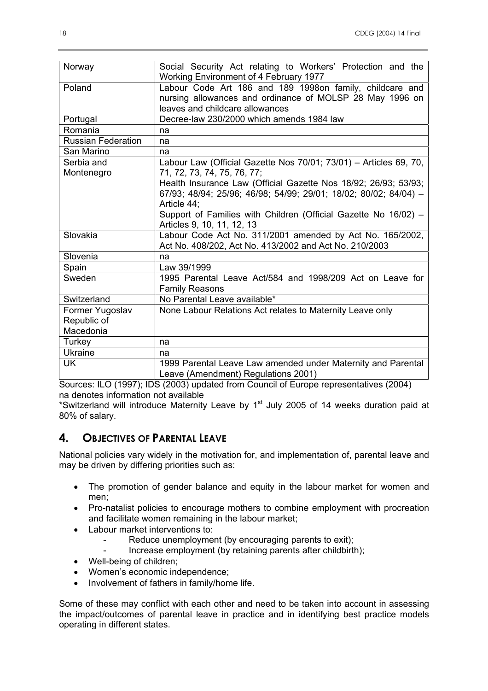| Norway                    | Social Security Act relating to Workers' Protection and the<br>Working Environment of 4 February 1977 |  |  |  |  |
|---------------------------|-------------------------------------------------------------------------------------------------------|--|--|--|--|
|                           |                                                                                                       |  |  |  |  |
| Poland                    | Labour Code Art 186 and 189 1998on family, childcare and                                              |  |  |  |  |
|                           | nursing allowances and ordinance of MOLSP 28 May 1996 on                                              |  |  |  |  |
|                           | leaves and childcare allowances                                                                       |  |  |  |  |
| Portugal                  | Decree-law 230/2000 which amends 1984 law                                                             |  |  |  |  |
| Romania                   | na                                                                                                    |  |  |  |  |
| <b>Russian Federation</b> | na                                                                                                    |  |  |  |  |
| San Marino                | na                                                                                                    |  |  |  |  |
| Serbia and                | Labour Law (Official Gazette Nos 70/01; 73/01) - Articles 69, 70,                                     |  |  |  |  |
| Montenegro                | 71, 72, 73, 74, 75, 76, 77;                                                                           |  |  |  |  |
|                           | Health Insurance Law (Official Gazette Nos 18/92; 26/93; 53/93;                                       |  |  |  |  |
|                           | 67/93; 48/94; 25/96; 46/98; 54/99; 29/01; 18/02; 80/02; 84/04) -                                      |  |  |  |  |
|                           | Article 44:                                                                                           |  |  |  |  |
|                           | Support of Families with Children (Official Gazette No 16/02) -                                       |  |  |  |  |
|                           |                                                                                                       |  |  |  |  |
|                           | Articles 9, 10, 11, 12, 13                                                                            |  |  |  |  |
| Slovakia                  | Labour Code Act No. 311/2001 amended by Act No. 165/2002,                                             |  |  |  |  |
|                           | Act No. 408/202, Act No. 413/2002 and Act No. 210/2003                                                |  |  |  |  |
| Slovenia                  | na                                                                                                    |  |  |  |  |
| Spain                     | Law 39/1999                                                                                           |  |  |  |  |
| Sweden                    | 1995 Parental Leave Act/584 and 1998/209 Act on Leave for                                             |  |  |  |  |
|                           | <b>Family Reasons</b>                                                                                 |  |  |  |  |
| Switzerland               | No Parental Leave available*                                                                          |  |  |  |  |
| Former Yugoslav           | None Labour Relations Act relates to Maternity Leave only                                             |  |  |  |  |
| Republic of               |                                                                                                       |  |  |  |  |
| Macedonia                 |                                                                                                       |  |  |  |  |
| Turkey                    | na                                                                                                    |  |  |  |  |
| <b>Ukraine</b>            | na                                                                                                    |  |  |  |  |
| UK                        | 1999 Parental Leave Law amended under Maternity and Parental                                          |  |  |  |  |
|                           |                                                                                                       |  |  |  |  |
|                           | Leave (Amendment) Regulations 2001)                                                                   |  |  |  |  |

Sources: ILO (1997); IDS (2003) updated from Council of Europe representatives (2004) na denotes information not available

\*Switzerland will introduce Maternity Leave by  $1<sup>st</sup>$  July 2005 of 14 weeks duration paid at 80% of salary.

# **4. OBJECTIVES OF PARENTAL LEAVE**

National policies vary widely in the motivation for, and implementation of, parental leave and may be driven by differing priorities such as:

- The promotion of gender balance and equity in the labour market for women and men;
- Pro-natalist policies to encourage mothers to combine employment with procreation and facilitate women remaining in the labour market;
- Labour market interventions to:
	- Reduce unemployment (by encouraging parents to exit);
	- Increase employment (by retaining parents after childbirth);
- Well-being of children;
- Women's economic independence;
- Involvement of fathers in family/home life.

Some of these may conflict with each other and need to be taken into account in assessing the impact/outcomes of parental leave in practice and in identifying best practice models operating in different states.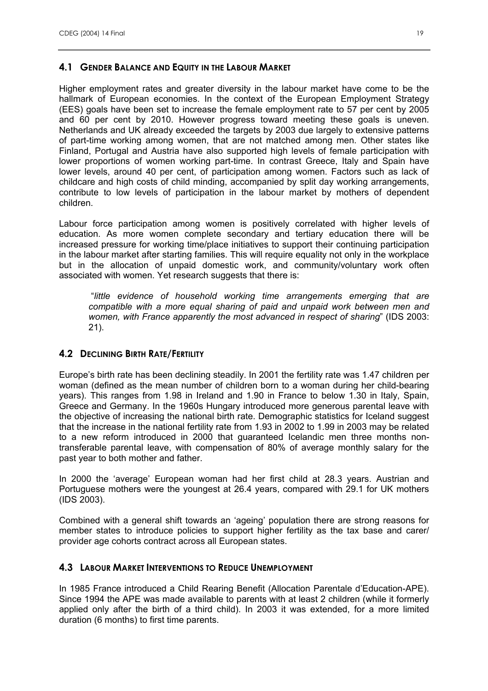## **4.1 GENDER BALANCE AND EQUITY IN THE LABOUR MARKET**

Higher employment rates and greater diversity in the labour market have come to be the hallmark of European economies. In the context of the European Employment Strategy (EES) goals have been set to increase the female employment rate to 57 per cent by 2005 and 60 per cent by 2010. However progress toward meeting these goals is uneven. Netherlands and UK already exceeded the targets by 2003 due largely to extensive patterns of part-time working among women, that are not matched among men. Other states like Finland, Portugal and Austria have also supported high levels of female participation with lower proportions of women working part-time. In contrast Greece, Italy and Spain have lower levels, around 40 per cent, of participation among women. Factors such as lack of childcare and high costs of child minding, accompanied by split day working arrangements, contribute to low levels of participation in the labour market by mothers of dependent children.

Labour force participation among women is positively correlated with higher levels of education. As more women complete secondary and tertiary education there will be increased pressure for working time/place initiatives to support their continuing participation in the labour market after starting families. This will require equality not only in the workplace but in the allocation of unpaid domestic work, and community/voluntary work often associated with women. Yet research suggests that there is:

 "*little evidence of household working time arrangements emerging that are compatible with a more equal sharing of paid and unpaid work between men and women, with France apparently the most advanced in respect of sharing*" (IDS 2003: 21).

## **4.2 DECLINING BIRTH RATE/FERTILITY**

Europe's birth rate has been declining steadily. In 2001 the fertility rate was 1.47 children per woman (defined as the mean number of children born to a woman during her child-bearing years). This ranges from 1.98 in Ireland and 1.90 in France to below 1.30 in Italy, Spain, Greece and Germany. In the 1960s Hungary introduced more generous parental leave with the objective of increasing the national birth rate. Demographic statistics for Iceland suggest that the increase in the national fertility rate from 1.93 in 2002 to 1.99 in 2003 may be related to a new reform introduced in 2000 that guaranteed Icelandic men three months nontransferable parental leave, with compensation of 80% of average monthly salary for the past year to both mother and father.

In 2000 the 'average' European woman had her first child at 28.3 years. Austrian and Portuguese mothers were the youngest at 26.4 years, compared with 29.1 for UK mothers (IDS 2003).

Combined with a general shift towards an 'ageing' population there are strong reasons for member states to introduce policies to support higher fertility as the tax base and carer/ provider age cohorts contract across all European states.

## **4.3 LABOUR MARKET INTERVENTIONS TO REDUCE UNEMPLOYMENT**

In 1985 France introduced a Child Rearing Benefit (Allocation Parentale d'Education-APE). Since 1994 the APE was made available to parents with at least 2 children (while it formerly applied only after the birth of a third child). In 2003 it was extended, for a more limited duration (6 months) to first time parents.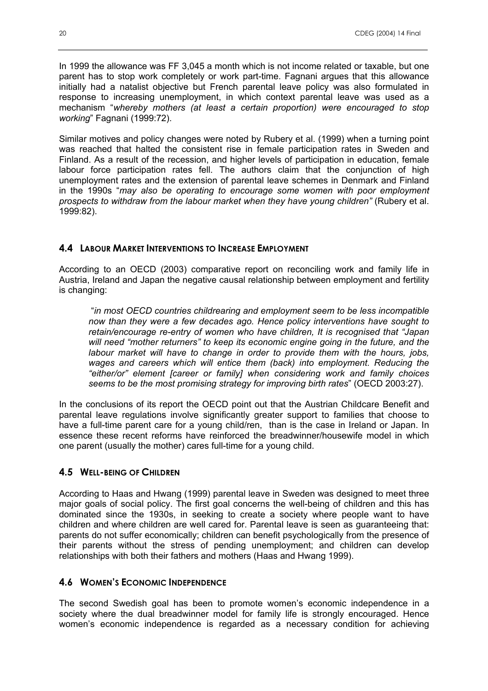In 1999 the allowance was FF 3,045 a month which is not income related or taxable, but one parent has to stop work completely or work part-time. Fagnani argues that this allowance initially had a natalist objective but French parental leave policy was also formulated in response to increasing unemployment, in which context parental leave was used as a mechanism "*whereby mothers (at least a certain proportion) were encouraged to stop working*" Fagnani (1999:72).

Similar motives and policy changes were noted by Rubery et al. (1999) when a turning point was reached that halted the consistent rise in female participation rates in Sweden and Finland. As a result of the recession, and higher levels of participation in education, female labour force participation rates fell. The authors claim that the conjunction of high unemployment rates and the extension of parental leave schemes in Denmark and Finland in the 1990s "*may also be operating to encourage some women with poor employment prospects to withdraw from the labour market when they have young children"* (Rubery et al. 1999:82).

#### **4.4 LABOUR MARKET INTERVENTIONS TO INCREASE EMPLOYMENT**

According to an OECD (2003) comparative report on reconciling work and family life in Austria, Ireland and Japan the negative causal relationship between employment and fertility is changing:

 "*in most OECD countries childrearing and employment seem to be less incompatible now than they were a few decades ago. Hence policy interventions have sought to retain/encourage re-entry of women who have children, It is recognised that "Japan will need "mother returners" to keep its economic engine going in the future, and the labour market will have to change in order to provide them with the hours, jobs, wages and careers which will entice them (back) into employment. Reducing the "either/or" element [career or family] when considering work and family choices seems to be the most promising strategy for improving birth rates*" (OECD 2003:27).

In the conclusions of its report the OECD point out that the Austrian Childcare Benefit and parental leave regulations involve significantly greater support to families that choose to have a full-time parent care for a young child/ren, than is the case in Ireland or Japan. In essence these recent reforms have reinforced the breadwinner/housewife model in which one parent (usually the mother) cares full-time for a young child.

#### **4.5 WELL-BEING OF CHILDREN**

According to Haas and Hwang (1999) parental leave in Sweden was designed to meet three major goals of social policy. The first goal concerns the well-being of children and this has dominated since the 1930s, in seeking to create a society where people want to have children and where children are well cared for. Parental leave is seen as guaranteeing that: parents do not suffer economically; children can benefit psychologically from the presence of their parents without the stress of pending unemployment; and children can develop relationships with both their fathers and mothers (Haas and Hwang 1999).

#### **4.6 WOMEN'S ECONOMIC INDEPENDENCE**

The second Swedish goal has been to promote women's economic independence in a society where the dual breadwinner model for family life is strongly encouraged. Hence women's economic independence is regarded as a necessary condition for achieving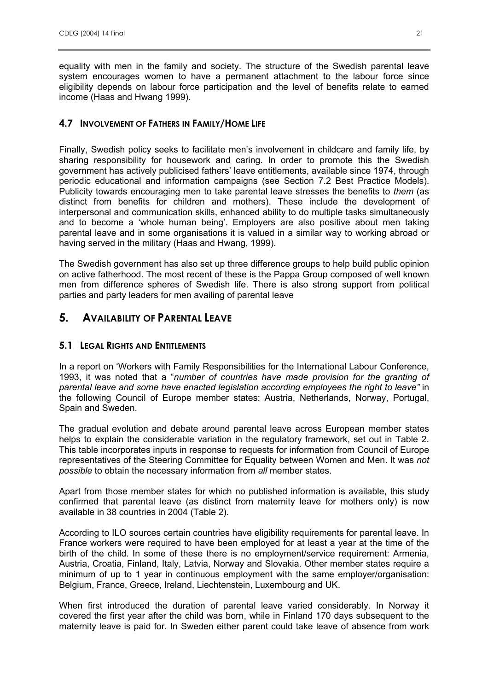equality with men in the family and society. The structure of the Swedish parental leave system encourages women to have a permanent attachment to the labour force since eligibility depends on labour force participation and the level of benefits relate to earned income (Haas and Hwang 1999).

## **4.7 INVOLVEMENT OF FATHERS IN FAMILY/HOME LIFE**

Finally, Swedish policy seeks to facilitate men's involvement in childcare and family life, by sharing responsibility for housework and caring. In order to promote this the Swedish government has actively publicised fathers' leave entitlements, available since 1974, through periodic educational and information campaigns (see Section 7.2 Best Practice Models). Publicity towards encouraging men to take parental leave stresses the benefits to *them* (as distinct from benefits for children and mothers). These include the development of interpersonal and communication skills, enhanced ability to do multiple tasks simultaneously and to become a 'whole human being'. Employers are also positive about men taking parental leave and in some organisations it is valued in a similar way to working abroad or having served in the military (Haas and Hwang, 1999).

The Swedish government has also set up three difference groups to help build public opinion on active fatherhood. The most recent of these is the Pappa Group composed of well known men from difference spheres of Swedish life. There is also strong support from political parties and party leaders for men availing of parental leave

# **5. AVAILABILITY OF PARENTAL LEAVE**

# **5.1 LEGAL RIGHTS AND ENTITLEMENTS**

In a report on 'Workers with Family Responsibilities for the International Labour Conference, 1993, it was noted that a "*number of countries have made provision for the granting of parental leave and some have enacted legislation according employees the right to leave"* in the following Council of Europe member states: Austria, Netherlands, Norway, Portugal, Spain and Sweden.

The gradual evolution and debate around parental leave across European member states helps to explain the considerable variation in the regulatory framework, set out in Table 2. This table incorporates inputs in response to requests for information from Council of Europe representatives of the Steering Committee for Equality between Women and Men. It was *not possible* to obtain the necessary information from *all* member states.

Apart from those member states for which no published information is available, this study confirmed that parental leave (as distinct from maternity leave for mothers only) is now available in 38 countries in 2004 (Table 2).

According to ILO sources certain countries have eligibility requirements for parental leave. In France workers were required to have been employed for at least a year at the time of the birth of the child. In some of these there is no employment/service requirement: Armenia, Austria, Croatia, Finland, Italy, Latvia, Norway and Slovakia. Other member states require a minimum of up to 1 year in continuous employment with the same employer/organisation: Belgium, France, Greece, Ireland, Liechtenstein, Luxembourg and UK.

When first introduced the duration of parental leave varied considerably. In Norway it covered the first year after the child was born, while in Finland 170 days subsequent to the maternity leave is paid for. In Sweden either parent could take leave of absence from work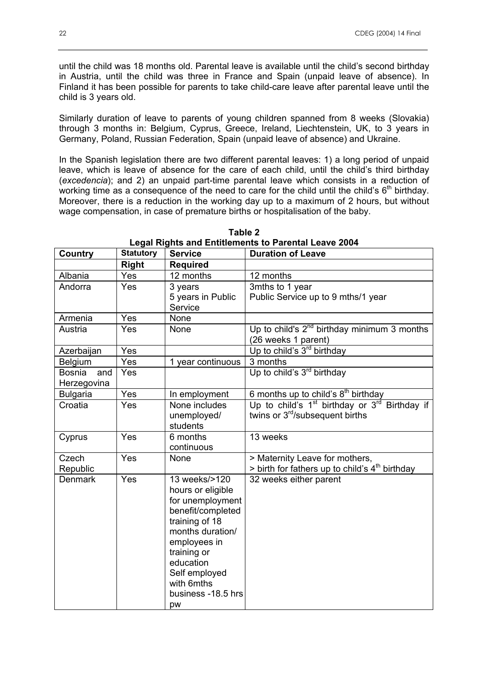until the child was 18 months old. Parental leave is available until the child's second birthday in Austria, until the child was three in France and Spain (unpaid leave of absence). In Finland it has been possible for parents to take child-care leave after parental leave until the child is 3 years old.

Similarly duration of leave to parents of young children spanned from 8 weeks (Slovakia) through 3 months in: Belgium, Cyprus, Greece, Ireland, Liechtenstein, UK, to 3 years in Germany, Poland, Russian Federation, Spain (unpaid leave of absence) and Ukraine.

In the Spanish legislation there are two different parental leaves: 1) a long period of unpaid leave, which is leave of absence for the care of each child, until the child's third birthday (*excedencia*); and 2) an unpaid part-time parental leave which consists in a reduction of working time as a consequence of the need to care for the child until the child's  $6<sup>th</sup>$  birthday. Moreover, there is a reduction in the working day up to a maximum of 2 hours, but without wage compensation, in case of premature births or hospitalisation of the baby.

| <b>Country</b>                      | <b>Statutory</b> | <b>Service</b>                                                                                                                                                                                                           | <b>Duration of Leave</b>                                                                                             |
|-------------------------------------|------------------|--------------------------------------------------------------------------------------------------------------------------------------------------------------------------------------------------------------------------|----------------------------------------------------------------------------------------------------------------------|
|                                     | <b>Right</b>     | <b>Required</b>                                                                                                                                                                                                          |                                                                                                                      |
| Albania                             | Yes              | 12 months                                                                                                                                                                                                                | 12 months                                                                                                            |
| Andorra                             | Yes              | 3 years<br>5 years in Public<br>Service                                                                                                                                                                                  | 3mths to 1 year<br>Public Service up to 9 mths/1 year                                                                |
| Armenia                             | Yes              | None                                                                                                                                                                                                                     |                                                                                                                      |
| Austria                             | Yes              | None                                                                                                                                                                                                                     | Up to child's $2^{nd}$ birthday minimum 3 months<br>(26 weeks 1 parent)                                              |
| Azerbaijan                          | Yes              |                                                                                                                                                                                                                          | Up to child's 3 <sup>rd</sup> birthday                                                                               |
| Belgium                             | Yes              | 1 year continuous                                                                                                                                                                                                        | 3 months                                                                                                             |
| <b>Bosnia</b><br>and<br>Herzegovina | Yes              |                                                                                                                                                                                                                          | Up to child's 3 <sup>rd</sup> birthday                                                                               |
| <b>Bulgaria</b>                     | Yes              | In employment                                                                                                                                                                                                            | 6 months up to child's 8 <sup>th</sup> birthday                                                                      |
| Croatia                             | Yes              | None includes<br>unemployed/<br>students                                                                                                                                                                                 | Up to child's 1 <sup>st</sup> birthday or 3 <sup>rd</sup> Birthday if<br>twins or 3 <sup>rd</sup> /subsequent births |
| Cyprus                              | Yes              | 6 months<br>continuous                                                                                                                                                                                                   | 13 weeks                                                                                                             |
| Czech<br>Republic                   | Yes              | None                                                                                                                                                                                                                     | > Maternity Leave for mothers,<br>> birth for fathers up to child's 4 <sup>th</sup> birthday                         |
| <b>Denmark</b>                      | Yes              | 13 weeks/>120<br>hours or eligible<br>for unemployment<br>benefit/completed<br>training of 18<br>months duration/<br>employees in<br>training or<br>education<br>Self employed<br>with 6mths<br>business -18.5 hrs<br>pw | 32 weeks either parent                                                                                               |

**Table 2 Legal Rights and Entitlements to Parental Leave 2004**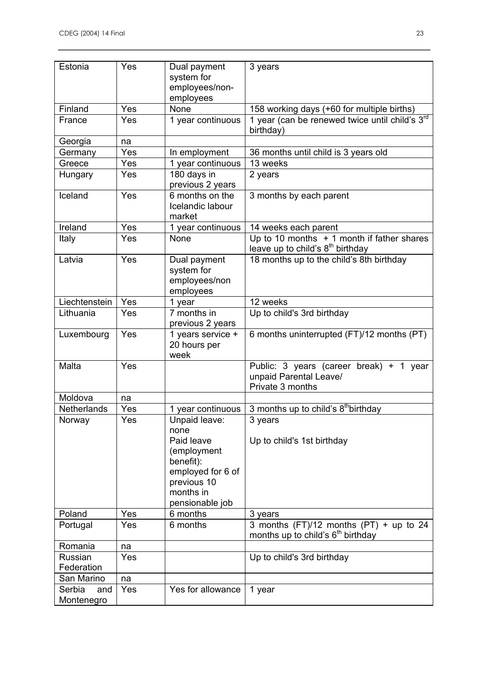| Estonia                     | Yes | Dual payment<br>system for<br>employees/non-<br>employees                                                                           | 3 years                                                                                     |
|-----------------------------|-----|-------------------------------------------------------------------------------------------------------------------------------------|---------------------------------------------------------------------------------------------|
| Finland                     | Yes | None                                                                                                                                | 158 working days (+60 for multiple births)                                                  |
| France                      | Yes | 1 year continuous                                                                                                                   | 1 year (can be renewed twice until child's 3rd<br>birthday)                                 |
| Georgia                     | na  |                                                                                                                                     |                                                                                             |
| Germany                     | Yes | In employment                                                                                                                       | 36 months until child is 3 years old                                                        |
| Greece                      | Yes | 1 year continuous                                                                                                                   | 13 weeks                                                                                    |
| Hungary                     | Yes | 180 days in<br>previous 2 years                                                                                                     | 2 years                                                                                     |
| <b>I</b> celand             | Yes | 6 months on the<br>Icelandic labour<br>market                                                                                       | 3 months by each parent                                                                     |
| Ireland                     | Yes | 1 year continuous                                                                                                                   | 14 weeks each parent                                                                        |
| Italy                       | Yes | None                                                                                                                                | Up to 10 months $+1$ month if father shares<br>leave up to child's 8 <sup>th</sup> birthday |
| Latvia                      | Yes | Dual payment<br>system for<br>employees/non<br>employees                                                                            | 18 months up to the child's 8th birthday                                                    |
| Liechtenstein               | Yes | 1 year                                                                                                                              | 12 weeks                                                                                    |
| Lithuania                   | Yes | 7 months in<br>previous 2 years                                                                                                     | Up to child's 3rd birthday                                                                  |
| Luxembourg                  | Yes | 1 years service +<br>20 hours per<br>week                                                                                           | 6 months uninterrupted (FT)/12 months (PT)                                                  |
| Malta                       | Yes |                                                                                                                                     | Public: 3 years (career break) + 1 year<br>unpaid Parental Leave/<br>Private 3 months       |
| Moldova                     | na  |                                                                                                                                     |                                                                                             |
| <b>Netherlands</b>          | Yes | 1 year continuous                                                                                                                   | 3 months up to child's 8 <sup>th</sup> birthday                                             |
| Norway                      | Yes | Unpaid leave:<br>none<br>Paid leave<br>(employment<br>benefit):<br>employed for 6 of<br>previous 10<br>months in<br>pensionable job | 3 years<br>Up to child's 1st birthday                                                       |
| Poland                      | Yes | 6 months                                                                                                                            | 3 years                                                                                     |
| Portugal                    | Yes | 6 months                                                                                                                            | 3 months $(FT)/12$ months $(PT) + up$ to 24<br>months up to child's $6th$ birthday          |
| Romania                     | na  |                                                                                                                                     |                                                                                             |
| Russian                     | Yes |                                                                                                                                     | Up to child's 3rd birthday                                                                  |
| Federation                  |     |                                                                                                                                     |                                                                                             |
| San Marino                  | na  |                                                                                                                                     |                                                                                             |
| Serbia<br>and<br>Montenegro | Yes | Yes for allowance                                                                                                                   | 1 year                                                                                      |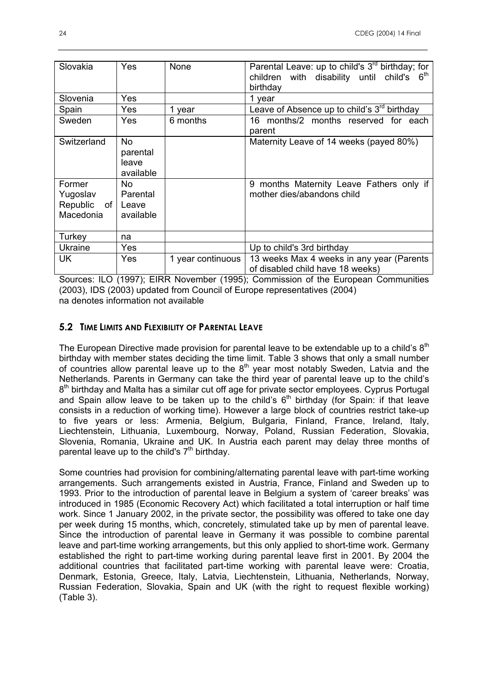| Slovakia                                       | Yes                                   | None              | Parental Leave: up to child's 3 <sup>rd</sup> birthday; for<br>children with disability until child's 6 <sup>th</sup><br>birthday |
|------------------------------------------------|---------------------------------------|-------------------|-----------------------------------------------------------------------------------------------------------------------------------|
| Slovenia                                       | Yes                                   |                   | 1 year                                                                                                                            |
| Spain                                          | Yes                                   | 1 year            | Leave of Absence up to child's $3rd$ birthday                                                                                     |
| Sweden                                         | Yes                                   | 6 months          | 16 months/2 months reserved for each<br>parent                                                                                    |
| Switzerland                                    | No.<br>parental<br>leave<br>available |                   | Maternity Leave of 14 weeks (payed 80%)                                                                                           |
| Former<br>Yugoslav<br>Republic of<br>Macedonia | No.<br>Parental<br>Leave<br>available |                   | 9 months Maternity Leave Fathers only if<br>mother dies/abandons child                                                            |
| Turkey                                         | na                                    |                   |                                                                                                                                   |
| <b>Ukraine</b>                                 | <b>Yes</b>                            |                   | Up to child's 3rd birthday                                                                                                        |
| UK                                             | Yes                                   | 1 year continuous | 13 weeks Max 4 weeks in any year (Parents<br>of disabled child have 18 weeks)                                                     |

Sources: ILO (1997); EIRR November (1995); Commission of the European Communities (2003), IDS (2003) updated from Council of Europe representatives (2004) na denotes information not available

#### **5.2 TIME LIMITS AND FLEXIBILITY OF PARENTAL LEAVE**

The European Directive made provision for parental leave to be extendable up to a child's  $8<sup>th</sup>$ birthday with member states deciding the time limit. Table 3 shows that only a small number of countries allow parental leave up to the  $8<sup>th</sup>$  year most notably Sweden, Latvia and the Netherlands. Parents in Germany can take the third year of parental leave up to the child's  $8<sup>th</sup>$  birthday and Malta has a similar cut off age for private sector employees. Cyprus Portugal and Spain allow leave to be taken up to the child's  $6<sup>th</sup>$  birthday (for Spain: if that leave consists in a reduction of working time). However a large block of countries restrict take-up to five years or less: Armenia, Belgium, Bulgaria, Finland, France, Ireland, Italy, Liechtenstein, Lithuania, Luxembourg, Norway, Poland, Russian Federation, Slovakia, Slovenia, Romania, Ukraine and UK. In Austria each parent may delay three months of parental leave up to the child's  $7<sup>th</sup>$  birthday.

Some countries had provision for combining/alternating parental leave with part-time working arrangements. Such arrangements existed in Austria, France, Finland and Sweden up to 1993. Prior to the introduction of parental leave in Belgium a system of 'career breaks' was introduced in 1985 (Economic Recovery Act) which facilitated a total interruption or half time work. Since 1 January 2002, in the private sector, the possibility was offered to take one day per week during 15 months, which, concretely, stimulated take up by men of parental leave. Since the introduction of parental leave in Germany it was possible to combine parental leave and part-time working arrangements, but this only applied to short-time work. Germany established the right to part-time working during parental leave first in 2001. By 2004 the additional countries that facilitated part-time working with parental leave were: Croatia, Denmark, Estonia, Greece, Italy, Latvia, Liechtenstein, Lithuania, Netherlands, Norway, Russian Federation, Slovakia, Spain and UK (with the right to request flexible working) (Table 3).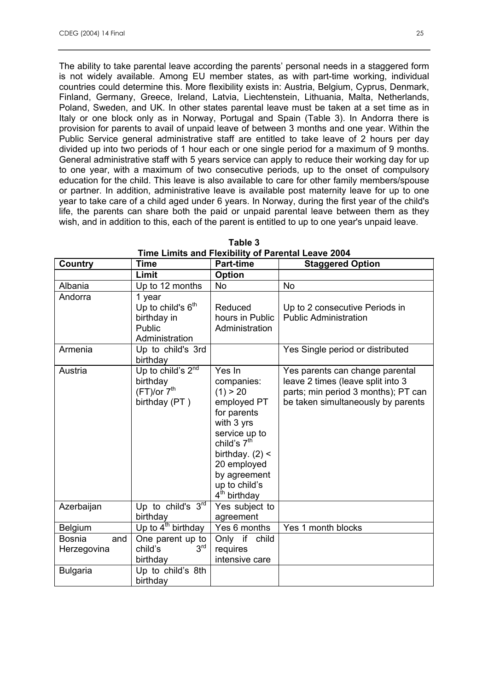The ability to take parental leave according the parents' personal needs in a staggered form is not widely available. Among EU member states, as with part-time working, individual countries could determine this. More flexibility exists in: Austria, Belgium, Cyprus, Denmark, Finland, Germany, Greece, Ireland, Latvia, Liechtenstein, Lithuania, Malta, Netherlands, Poland, Sweden, and UK. In other states parental leave must be taken at a set time as in Italy or one block only as in Norway, Portugal and Spain (Table 3). In Andorra there is provision for parents to avail of unpaid leave of between 3 months and one year. Within the Public Service general administrative staff are entitled to take leave of 2 hours per day divided up into two periods of 1 hour each or one single period for a maximum of 9 months. General administrative staff with 5 years service can apply to reduce their working day for up to one year, with a maximum of two consecutive periods, up to the onset of compulsory education for the child. This leave is also available to care for other family members/spouse or partner. In addition, administrative leave is available post maternity leave for up to one year to take care of a child aged under 6 years. In Norway, during the first year of the child's life, the parents can share both the paid or unpaid parental leave between them as they wish, and in addition to this, each of the parent is entitled to up to one year's unpaid leave.

| Country                      | <b>Time</b>                                                                        | <b>Part-time</b>                                                                                                                                                                                                          | <b>Staggered Option</b>                                                                                                                           |
|------------------------------|------------------------------------------------------------------------------------|---------------------------------------------------------------------------------------------------------------------------------------------------------------------------------------------------------------------------|---------------------------------------------------------------------------------------------------------------------------------------------------|
|                              | Limit                                                                              | Option                                                                                                                                                                                                                    |                                                                                                                                                   |
| Albania                      | Up to 12 months                                                                    | <b>No</b>                                                                                                                                                                                                                 | No                                                                                                                                                |
| Andorra                      | 1 year<br>Up to child's 6 <sup>th</sup><br>birthday in<br>Public<br>Administration | Reduced<br>hours in Public<br>Administration                                                                                                                                                                              | Up to 2 consecutive Periods in<br><b>Public Administration</b>                                                                                    |
| Armenia                      | Up to child's 3rd<br>birthday                                                      |                                                                                                                                                                                                                           | Yes Single period or distributed                                                                                                                  |
| Austria                      | Up to child's $2^{nd}$<br>birthday<br>(FT)/or 7 <sup>th</sup><br>birthday (PT)     | Yes In<br>companies:<br>(1) > 20<br>employed PT<br>for parents<br>with 3 yrs<br>service up to<br>child's 7 <sup>th</sup><br>birthday. $(2)$ <<br>20 employed<br>by agreement<br>up to child's<br>4 <sup>th</sup> birthday | Yes parents can change parental<br>leave 2 times (leave split into 3<br>parts; min period 3 months); PT can<br>be taken simultaneously by parents |
| Azerbaijan                   | Up to child's $3rd$<br>birthday                                                    | Yes subject to<br>agreement                                                                                                                                                                                               |                                                                                                                                                   |
| <b>Belgium</b>               | Up to $4th$ birthday                                                               | Yes 6 months                                                                                                                                                                                                              | Yes 1 month blocks                                                                                                                                |
| and<br>Bosnia<br>Herzegovina | One parent up to<br>3 <sup>rd</sup><br>child's<br>birthday                         | Only if child<br>requires<br>intensive care                                                                                                                                                                               |                                                                                                                                                   |
| <b>Bulgaria</b>              | Up to child's 8th<br>birthday                                                      |                                                                                                                                                                                                                           |                                                                                                                                                   |

**Table 3 Time Limits and Flexibility of Parental Leave 2004**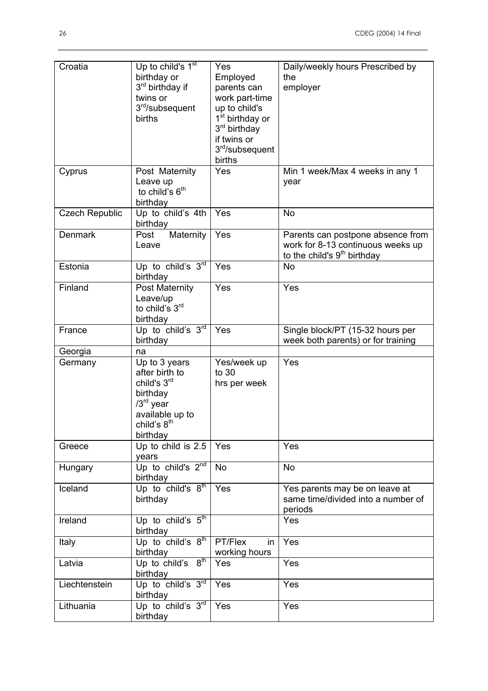| Croatia               | Up to child's $1st$<br>birthday or<br>3rd birthday if<br>twins or<br>3rd/subsequent<br>births                                                   | Yes<br>Employed<br>parents can<br>work part-time<br>up to child's<br>1 <sup>st</sup> birthday or<br>3 <sup>rd</sup> birthday<br>if twins or<br>3 <sup>rd</sup> /subsequent<br>births | Daily/weekly hours Prescribed by<br>the<br>employer                                                               |
|-----------------------|-------------------------------------------------------------------------------------------------------------------------------------------------|--------------------------------------------------------------------------------------------------------------------------------------------------------------------------------------|-------------------------------------------------------------------------------------------------------------------|
| Cyprus                | Post Maternity<br>Leave up<br>to child's 6 <sup>th</sup><br>birthday                                                                            | Yes                                                                                                                                                                                  | Min 1 week/Max 4 weeks in any 1<br>year                                                                           |
| <b>Czech Republic</b> | Up to child's 4th<br>birthday                                                                                                                   | Yes                                                                                                                                                                                  | <b>No</b>                                                                                                         |
| <b>Denmark</b>        | Maternity<br>Post<br>Leave                                                                                                                      | Yes                                                                                                                                                                                  | Parents can postpone absence from<br>work for 8-13 continuous weeks up<br>to the child's 9 <sup>th</sup> birthday |
| Estonia               | Up to child's 3rd<br>birthday                                                                                                                   | Yes                                                                                                                                                                                  | <b>No</b>                                                                                                         |
| Finland               | <b>Post Maternity</b><br>Leave/up<br>to child's 3rd<br>birthday                                                                                 | Yes                                                                                                                                                                                  | Yes                                                                                                               |
| France                | Up to child's $3^{\overline{rd}}$<br>birthday                                                                                                   | Yes                                                                                                                                                                                  | Single block/PT (15-32 hours per<br>week both parents) or for training                                            |
| Georgia               | na                                                                                                                                              |                                                                                                                                                                                      |                                                                                                                   |
| Germany               | Up to 3 years<br>after birth to<br>child's 3 <sup>rd</sup><br>birthday<br>$/3rd$ year<br>available up to<br>child's 8 <sup>th</sup><br>birthday | Yes/week up<br>to 30<br>hrs per week                                                                                                                                                 | Yes                                                                                                               |
| Greece                | Up to child is 2.5<br>years                                                                                                                     | Yes                                                                                                                                                                                  | Yes                                                                                                               |
| Hungary               | Up to child's $2^{nd}$<br>birthday                                                                                                              | <b>No</b>                                                                                                                                                                            | <b>No</b>                                                                                                         |
| Iceland               | Up to child's $8th$<br>birthday                                                                                                                 | Yes                                                                                                                                                                                  | Yes parents may be on leave at<br>same time/divided into a number of<br>periods                                   |
| Ireland               | Up to child's $5th$<br>birthday                                                                                                                 |                                                                                                                                                                                      | Yes                                                                                                               |
| Italy                 | Up to child's $8^{th}$<br>birthday                                                                                                              | PT/Flex<br>in<br>working hours                                                                                                                                                       | Yes                                                                                                               |
| Latvia                | Up to child's $8th$<br>birthday                                                                                                                 | Yes                                                                                                                                                                                  | Yes                                                                                                               |
| Liechtenstein         | Up to child's $3rd$<br>birthday                                                                                                                 | Yes                                                                                                                                                                                  | Yes                                                                                                               |
| Lithuania             | Up to child's $3rd$ Yes<br>birthday                                                                                                             |                                                                                                                                                                                      | Yes                                                                                                               |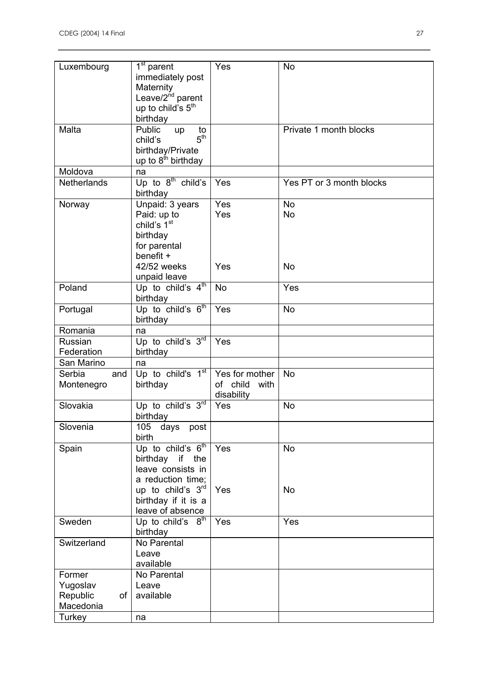| Luxembourg                  | $1st$ parent<br>immediately post<br>Maternity<br>Leave/2 <sup>nd</sup> parent<br>up to child's 5 <sup>th</sup><br>birthday        | Yes                                              | <b>No</b>                           |
|-----------------------------|-----------------------------------------------------------------------------------------------------------------------------------|--------------------------------------------------|-------------------------------------|
| Malta                       | Public<br>to<br>up<br>5 <sup>th</sup><br>child's<br>birthday/Private<br>up to $8th$ birthday                                      |                                                  | Private 1 month blocks              |
| Moldova                     | na                                                                                                                                |                                                  |                                     |
| Netherlands                 | Up to $8^{th}$ child's<br>birthday                                                                                                | Yes                                              | Yes PT or 3 month blocks            |
| Norway                      | Unpaid: 3 years<br>Paid: up to<br>child's 1 <sup>st</sup><br>birthday<br>for parental<br>benefit +<br>42/52 weeks<br>unpaid leave | Yes<br>Yes<br>Yes                                | <b>No</b><br><b>No</b><br><b>No</b> |
| Poland                      | Up to child's $4^{\text{th}}$<br>birthday                                                                                         | <b>No</b>                                        | Yes                                 |
| Portugal                    | Up to child's $6th$<br>birthday                                                                                                   | Yes                                              | <b>No</b>                           |
| Romania                     | na                                                                                                                                |                                                  |                                     |
| Russian                     | Up to child's $3rd$                                                                                                               | Yes                                              |                                     |
| Federation                  | birthday                                                                                                                          |                                                  |                                     |
| San Marino                  | na                                                                                                                                |                                                  |                                     |
| Serbia<br>and<br>Montenegro | Up to child's 1 <sup>st</sup><br>birthday                                                                                         | Yes for mother<br>of child<br>with<br>disability | <b>No</b>                           |
| Slovakia                    | Up to child's $3^{\overline{rd}}$<br>birthday                                                                                     | Yes                                              | <b>No</b>                           |
| Slovenia                    | 105<br>days post<br>birth                                                                                                         |                                                  |                                     |
| Spain                       | Up to child's $6th$<br>birthday if the<br>leave consists in<br>a reduction time;<br>up to child's $3rd$                           | Yes<br>Yes                                       | <b>No</b><br>No                     |
|                             | birthday if it is a<br>leave of absence                                                                                           |                                                  |                                     |
| Sweden                      | 8 <sup>th</sup><br>Up to child's<br>birthday                                                                                      | Yes                                              | Yes                                 |
| Switzerland                 | No Parental<br>Leave<br>available                                                                                                 |                                                  |                                     |
| Former                      | No Parental                                                                                                                       |                                                  |                                     |
| Yugoslav                    | Leave                                                                                                                             |                                                  |                                     |
| Republic<br>of              | available                                                                                                                         |                                                  |                                     |
| Macedonia                   |                                                                                                                                   |                                                  |                                     |
| Turkey                      | na                                                                                                                                |                                                  |                                     |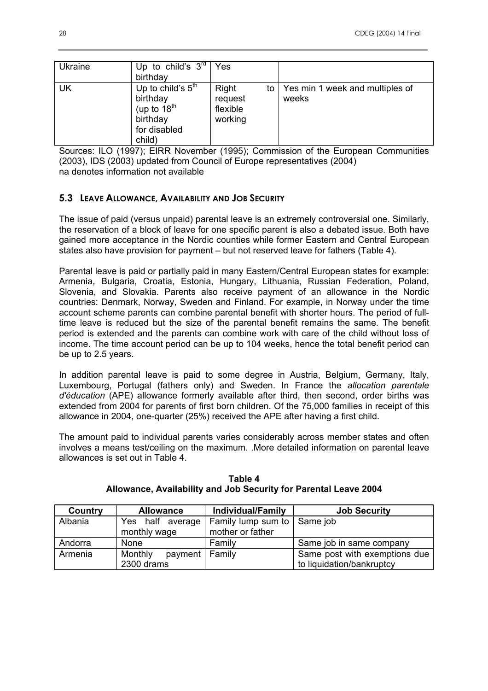| <b>Ukraine</b> | Up to child's $3rd$<br>birthday                                                           | Yes                                     |    |                                          |
|----------------|-------------------------------------------------------------------------------------------|-----------------------------------------|----|------------------------------------------|
| UK             | Up to child's $5th$<br>birthday<br>(up to $18^{th}$<br>birthday<br>for disabled<br>child) | Right<br>request<br>flexible<br>working | to | Yes min 1 week and multiples of<br>weeks |

Sources: ILO (1997); EIRR November (1995); Commission of the European Communities (2003), IDS (2003) updated from Council of Europe representatives (2004) na denotes information not available

# **5.3 LEAVE ALLOWANCE, AVAILABILITY AND JOB SECURITY**

The issue of paid (versus unpaid) parental leave is an extremely controversial one. Similarly, the reservation of a block of leave for one specific parent is also a debated issue. Both have gained more acceptance in the Nordic counties while former Eastern and Central European states also have provision for payment – but not reserved leave for fathers (Table 4).

Parental leave is paid or partially paid in many Eastern/Central European states for example: Armenia, Bulgaria, Croatia, Estonia, Hungary, Lithuania, Russian Federation, Poland, Slovenia, and Slovakia. Parents also receive payment of an allowance in the Nordic countries: Denmark, Norway, Sweden and Finland. For example, in Norway under the time account scheme parents can combine parental benefit with shorter hours. The period of fulltime leave is reduced but the size of the parental benefit remains the same. The benefit period is extended and the parents can combine work with care of the child without loss of income. The time account period can be up to 104 weeks, hence the total benefit period can be up to 2.5 years.

In addition parental leave is paid to some degree in Austria, Belgium, Germany, Italy, Luxembourg, Portugal (fathers only) and Sweden. In France the *allocation parentale d'éducation* (APE) allowance formerly available after third, then second, order births was extended from 2004 for parents of first born children. Of the 75,000 families in receipt of this allowance in 2004, one-quarter (25%) received the APE after having a first child.

The amount paid to individual parents varies considerably across member states and often involves a means test/ceiling on the maximum. .More detailed information on parental leave allowances is set out in Table 4.

| Country | <b>Allowance</b>            | <b>Individual/Family</b>      | <b>Job Security</b>           |
|---------|-----------------------------|-------------------------------|-------------------------------|
| Albania | Yes half average            | Family lump sum to   Same job |                               |
|         | monthly wage                | mother or father              |                               |
| Andorra | <b>None</b>                 | Family                        | Same job in same company      |
| Armenia | payment   Family<br>Monthly |                               | Same post with exemptions due |
|         | 2300 drams                  |                               | to liquidation/bankruptcy     |

**Table 4 Allowance, Availability and Job Security for Parental Leave 2004**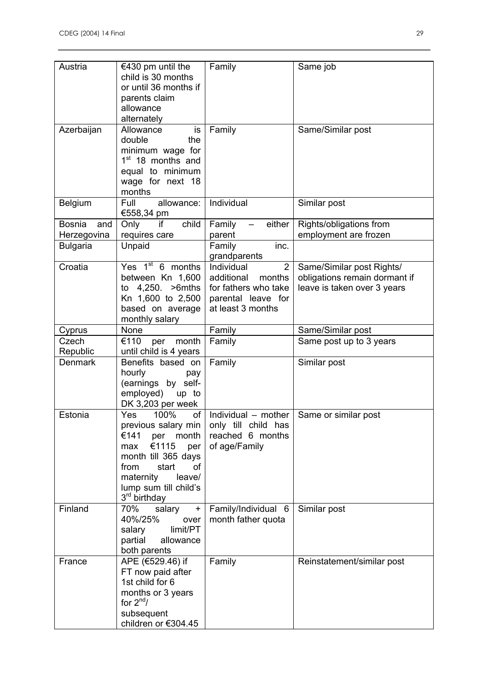| Austria              | €430 pm until the<br>child is 30 months<br>or until 36 months if<br>parents claim<br>allowance<br>alternately                                                                                     | Family                                                                                                                  | Same job                                                                                  |
|----------------------|---------------------------------------------------------------------------------------------------------------------------------------------------------------------------------------------------|-------------------------------------------------------------------------------------------------------------------------|-------------------------------------------------------------------------------------------|
| Azerbaijan           | Allowance<br>is<br>double<br>the<br>minimum wage for<br>1 <sup>st</sup> 18 months and<br>equal to minimum<br>wage for next 18<br>months                                                           | Family                                                                                                                  | Same/Similar post                                                                         |
| Belgium              | Full<br>allowance:<br>€558,34 pm                                                                                                                                                                  | Individual                                                                                                              | Similar post                                                                              |
| <b>Bosnia</b><br>and | child<br>Only<br>if                                                                                                                                                                               | Family<br>either                                                                                                        | Rights/obligations from                                                                   |
| Herzegovina          | requires care                                                                                                                                                                                     | parent                                                                                                                  | employment are frozen                                                                     |
| <b>Bulgaria</b>      | Unpaid                                                                                                                                                                                            | Family<br>inc.<br>grandparents                                                                                          |                                                                                           |
| Croatia              | Yes $1st$ 6 months<br>between Kn 1,600<br>to 4,250.<br>>6mths<br>Kn 1,600 to 2,500<br>based on average<br>monthly salary                                                                          | Individual<br>$\overline{2}$<br>additional<br>months<br>for fathers who take<br>parental leave for<br>at least 3 months | Same/Similar post Rights/<br>obligations remain dormant if<br>leave is taken over 3 years |
| Cyprus               | None                                                                                                                                                                                              | Family                                                                                                                  | Same/Similar post                                                                         |
| Czech                | €110<br>month<br>per                                                                                                                                                                              | Family                                                                                                                  | Same post up to 3 years                                                                   |
| Republic             | until child is 4 years                                                                                                                                                                            |                                                                                                                         |                                                                                           |
| <b>Denmark</b>       | Benefits based on<br>hourly<br>pay<br>(earnings by self-<br>employed)<br>up to<br>DK 3,203 per week                                                                                               | Family                                                                                                                  | Similar post                                                                              |
| Estonia              | of<br><b>Yes</b><br>100%<br>€141<br>month<br>per<br>€1115<br>per<br>max<br>month till 365 days<br>from<br>start<br>οf<br>maternity<br>leave/<br>lump sum till child's<br>3 <sup>rd</sup> birthday | Individual - mother<br>previous salary min   only till child has<br>reached 6 months<br>of age/Family                   | Same or similar post                                                                      |
| Finland              | 70%<br>salary<br>$\ddot{}$<br>40%/25%<br>over<br>limit/PT<br>salary<br>partial<br>allowance<br>both parents                                                                                       | Family/Individual 6<br>month father quota                                                                               | Similar post                                                                              |
| France               | APE (€529.46) if<br>FT now paid after<br>1st child for 6<br>months or 3 years<br>for $2^{nd}/$<br>subsequent<br>children or €304.45                                                               | Family                                                                                                                  | Reinstatement/similar post                                                                |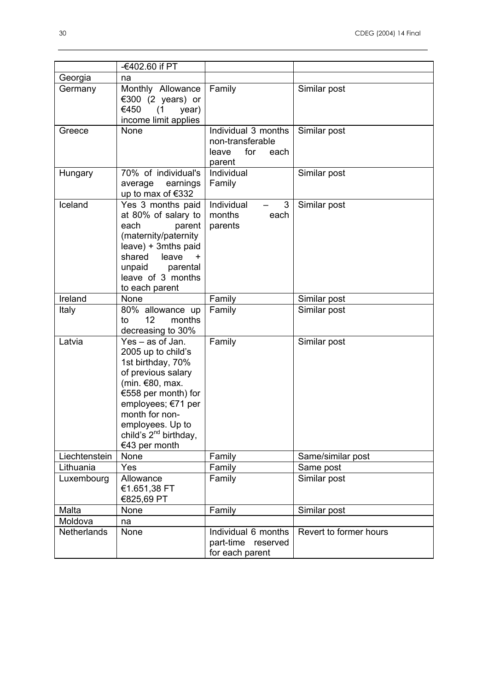|                            | -€402.60 if PT                          |                      |                           |
|----------------------------|-----------------------------------------|----------------------|---------------------------|
| Georgia<br>Germany         | na<br>Monthly Allowance                 | Family               | Similar post              |
|                            | €300 (2 years) or                       |                      |                           |
|                            | €450<br>(1)<br>year)                    |                      |                           |
|                            | income limit applies                    |                      |                           |
| Greece                     | None                                    | Individual 3 months  | Similar post              |
|                            |                                         | non-transferable     |                           |
|                            |                                         | leave<br>for<br>each |                           |
|                            |                                         | parent               |                           |
| Hungary                    | 70% of individual's<br>average earnings | Individual<br>Family | Similar post              |
|                            | up to max of €332                       |                      |                           |
| Iceland                    | Yes 3 months paid                       | Individual<br>3      | Similar post              |
|                            | at 80% of salary to                     | months<br>each       |                           |
|                            | parent<br>each                          | parents              |                           |
|                            | (maternity/paternity                    |                      |                           |
|                            | leave) + 3mths paid                     |                      |                           |
|                            | shared<br>leave<br>$\ddot{}$            |                      |                           |
|                            | unpaid<br>parental<br>leave of 3 months |                      |                           |
|                            | to each parent                          |                      |                           |
| Ireland                    | None                                    | Family               | Similar post              |
| Italy                      | 80% allowance up                        | Family               | Similar post              |
|                            | 12 <sup>2</sup><br>months<br>to         |                      |                           |
|                            | decreasing to 30%                       |                      |                           |
| Latvia                     | Yes - as of Jan.                        | Family               | Similar post              |
|                            | 2005 up to child's                      |                      |                           |
|                            | 1st birthday, 70%<br>of previous salary |                      |                           |
|                            | (min. €80, max.                         |                      |                           |
|                            | €558 per month) for                     |                      |                           |
|                            | employees; €71 per                      |                      |                           |
|                            | month for non-                          |                      |                           |
|                            | employees. Up to                        |                      |                           |
|                            | child's 2 <sup>nd</sup> birthday,       |                      |                           |
|                            | €43 per month                           |                      |                           |
| Liechtenstein<br>Lithuania | None<br>Yes                             | Family               | Same/similar post         |
| Luxembourg                 | Allowance                               | Family<br>Family     | Same post<br>Similar post |
|                            | €1.651,38 FT                            |                      |                           |
|                            | €825,69 PT                              |                      |                           |
| Malta                      | None                                    | Family               | Similar post              |
| Moldova                    | na                                      |                      |                           |
| Netherlands                | None                                    | Individual 6 months  | Revert to former hours    |
|                            |                                         | part-time reserved   |                           |
|                            |                                         | for each parent      |                           |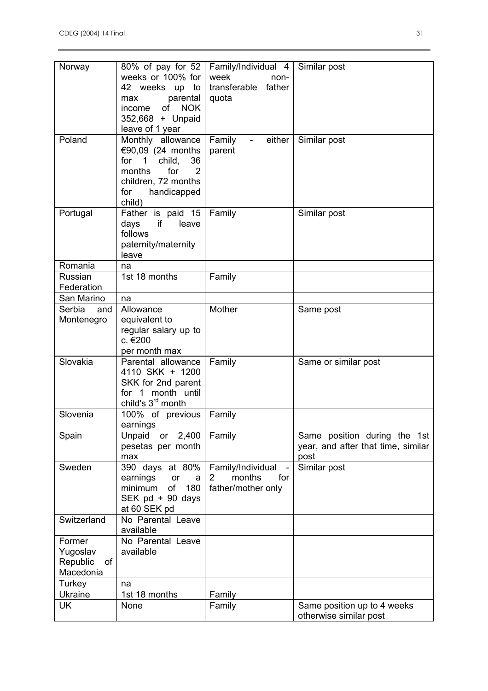| Norway<br>Poland                                         | 80% of pay for 52<br>weeks or 100% for<br>42 weeks<br>up<br>to<br>parental<br>max<br><b>NOK</b><br>income<br>of<br>352,668 + Unpaid<br>leave of 1 year<br>Monthly allowance | Family/Individual 4<br>week<br>non-<br>transferable<br>father<br>quota<br>Family<br>either<br>$\overline{\phantom{a}}$ | Similar post<br>Similar post                                               |
|----------------------------------------------------------|-----------------------------------------------------------------------------------------------------------------------------------------------------------------------------|------------------------------------------------------------------------------------------------------------------------|----------------------------------------------------------------------------|
|                                                          | €90,09 (24 months<br>for<br>1<br>child,<br>36<br>months<br>for<br>2<br>children, 72 months<br>handicapped<br>for<br>child)                                                  | parent                                                                                                                 |                                                                            |
| Portugal                                                 | Father is paid 15<br>if<br>days<br>leave<br>follows<br>paternity/maternity<br>leave                                                                                         | Family                                                                                                                 | Similar post                                                               |
| Romania                                                  | na                                                                                                                                                                          |                                                                                                                        |                                                                            |
| Russian<br>Federation                                    | 1st 18 months                                                                                                                                                               | Family                                                                                                                 |                                                                            |
| San Marino                                               | na                                                                                                                                                                          |                                                                                                                        |                                                                            |
| Serbia<br>and<br>Montenegro                              | Allowance<br>equivalent to<br>regular salary up to<br>c. €200<br>per month max                                                                                              | Mother                                                                                                                 | Same post                                                                  |
| Slovakia                                                 | Parental allowance<br>4110 SKK + 1200<br>SKK for 2nd parent<br>month until<br>for $1$<br>child's 3 <sup>rd</sup> month                                                      | Family                                                                                                                 | Same or similar post                                                       |
| Slovenia                                                 | 100% of previous<br>earnings                                                                                                                                                | Family                                                                                                                 |                                                                            |
| Spain                                                    | or 2,400<br>Unpaid<br>pesetas per month<br>max                                                                                                                              | Family                                                                                                                 | Same position during the 1st<br>year, and after that time, similar<br>post |
| Sweden                                                   | 390 days at 80%<br>earnings<br>or<br>a<br>180<br>minimum<br>of<br>SEK pd + 90 days<br>at 60 SEK pd                                                                          | Family/Individual<br>months<br>for<br>$\mathbf{2}$<br>father/mother only                                               | Similar post                                                               |
| Switzerland                                              | No Parental Leave<br>available                                                                                                                                              |                                                                                                                        |                                                                            |
| Former<br>Yugoslav<br>Republic<br><b>of</b><br>Macedonia | No Parental Leave<br>available                                                                                                                                              |                                                                                                                        |                                                                            |
| Turkey                                                   | na                                                                                                                                                                          |                                                                                                                        |                                                                            |
| <b>Ukraine</b>                                           | 1st 18 months                                                                                                                                                               | Family                                                                                                                 |                                                                            |
| UK                                                       | None                                                                                                                                                                        | Family                                                                                                                 | Same position up to 4 weeks<br>otherwise similar post                      |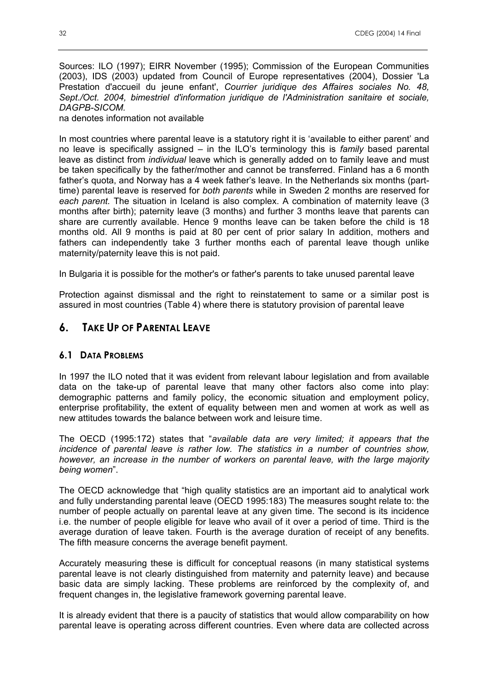Sources: ILO (1997); EIRR November (1995); Commission of the European Communities (2003), IDS (2003) updated from Council of Europe representatives (2004), Dossier 'La Prestation d'accueil du jeune enfant', *Courrier juridique des Affaires sociales No. 48, Sept./Oct. 2004, bimestriel d'information juridique de l'Administration sanitaire et sociale, DAGPB-SICOM.* 

na denotes information not available

In most countries where parental leave is a statutory right it is 'available to either parent' and no leave is specifically assigned – in the ILO's terminology this is *family* based parental leave as distinct from *individual* leave which is generally added on to family leave and must be taken specifically by the father/mother and cannot be transferred. Finland has a 6 month father's quota, and Norway has a 4 week father's leave. In the Netherlands six months (parttime) parental leave is reserved for *both parents* while in Sweden 2 months are reserved for *each parent.* The situation in Iceland is also complex. A combination of maternity leave (3 months after birth); paternity leave (3 months) and further 3 months leave that parents can share are currently available. Hence 9 months leave can be taken before the child is 18 months old. All 9 months is paid at 80 per cent of prior salary In addition, mothers and fathers can independently take 3 further months each of parental leave though unlike maternity/paternity leave this is not paid.

In Bulgaria it is possible for the mother's or father's parents to take unused parental leave

Protection against dismissal and the right to reinstatement to same or a similar post is assured in most countries (Table 4) where there is statutory provision of parental leave

# **6. TAKE UP OF PARENTAL LEAVE**

## **6.1 DATA PROBLEMS**

In 1997 the ILO noted that it was evident from relevant labour legislation and from available data on the take-up of parental leave that many other factors also come into play: demographic patterns and family policy, the economic situation and employment policy, enterprise profitability, the extent of equality between men and women at work as well as new attitudes towards the balance between work and leisure time.

The OECD (1995:172) states that "*available data are very limited; it appears that the incidence of parental leave is rather low. The statistics in a number of countries show, however, an increase in the number of workers on parental leave, with the large majority being women*".

The OECD acknowledge that "high quality statistics are an important aid to analytical work and fully understanding parental leave (OECD 1995:183) The measures sought relate to: the number of people actually on parental leave at any given time. The second is its incidence i.e. the number of people eligible for leave who avail of it over a period of time. Third is the average duration of leave taken. Fourth is the average duration of receipt of any benefits. The fifth measure concerns the average benefit payment.

Accurately measuring these is difficult for conceptual reasons (in many statistical systems parental leave is not clearly distinguished from maternity and paternity leave) and because basic data are simply lacking. These problems are reinforced by the complexity of, and frequent changes in, the legislative framework governing parental leave.

It is already evident that there is a paucity of statistics that would allow comparability on how parental leave is operating across different countries. Even where data are collected across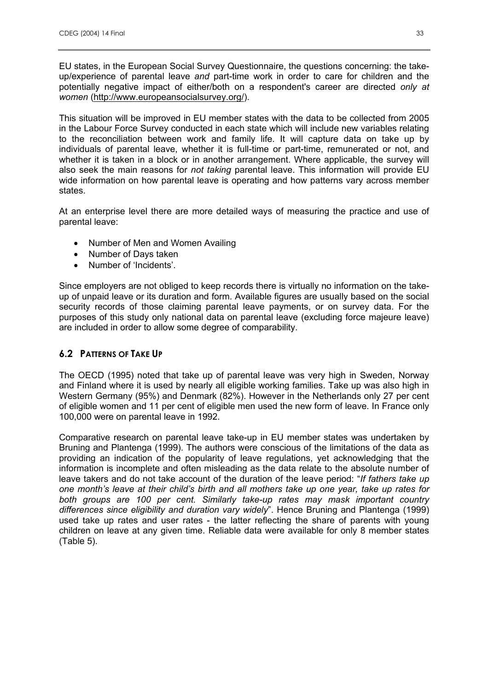EU states, in the European Social Survey Questionnaire, the questions concerning: the takeup/experience of parental leave *and* part-time work in order to care for children and the potentially negative impact of either/both on a respondent's career are directed *only at women* (http://www.europeansocialsurvey.org/).

This situation will be improved in EU member states with the data to be collected from 2005 in the Labour Force Survey conducted in each state which will include new variables relating to the reconciliation between work and family life. It will capture data on take up by individuals of parental leave, whether it is full-time or part-time, remunerated or not, and whether it is taken in a block or in another arrangement. Where applicable, the survey will also seek the main reasons for *not taking* parental leave. This information will provide EU wide information on how parental leave is operating and how patterns vary across member states.

At an enterprise level there are more detailed ways of measuring the practice and use of parental leave:

- Number of Men and Women Availing
- Number of Days taken
- Number of 'Incidents'.

Since employers are not obliged to keep records there is virtually no information on the takeup of unpaid leave or its duration and form. Available figures are usually based on the social security records of those claiming parental leave payments, or on survey data. For the purposes of this study only national data on parental leave (excluding force majeure leave) are included in order to allow some degree of comparability.

## **6.2 PATTERNS OF TAKE UP**

The OECD (1995) noted that take up of parental leave was very high in Sweden, Norway and Finland where it is used by nearly all eligible working families. Take up was also high in Western Germany (95%) and Denmark (82%). However in the Netherlands only 27 per cent of eligible women and 11 per cent of eligible men used the new form of leave. In France only 100,000 were on parental leave in 1992.

Comparative research on parental leave take-up in EU member states was undertaken by Bruning and Plantenga (1999). The authors were conscious of the limitations of the data as providing an indication of the popularity of leave regulations, yet acknowledging that the information is incomplete and often misleading as the data relate to the absolute number of leave takers and do not take account of the duration of the leave period: "*If fathers take up one month's leave at their child's birth and all mothers take up one year, take up rates for both groups are 100 per cent. Similarly take-up rates may mask important country differences since eligibility and duration vary widely*". Hence Bruning and Plantenga (1999) used take up rates and user rates - the latter reflecting the share of parents with young children on leave at any given time. Reliable data were available for only 8 member states (Table 5).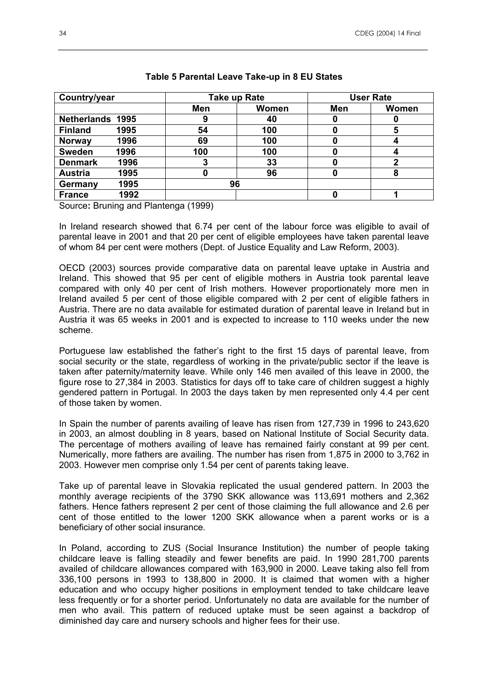| Country/year            |      |     | <b>Take up Rate</b> |     | <b>User Rate</b> |  |
|-------------------------|------|-----|---------------------|-----|------------------|--|
|                         |      | Men | Women               | Men | Women            |  |
| <b>Netherlands 1995</b> |      | 9   | 40                  |     |                  |  |
| <b>Finland</b>          | 1995 | 54  | 100                 |     |                  |  |
| <b>Norway</b>           | 1996 | 69  | 100                 |     |                  |  |
| <b>Sweden</b>           | 1996 | 100 | 100                 |     |                  |  |
| <b>Denmark</b>          | 1996 |     | 33                  |     |                  |  |
| <b>Austria</b>          | 1995 | O   | 96                  |     |                  |  |
| Germany                 | 1995 | 96  |                     |     |                  |  |
| <b>France</b>           | 1992 |     |                     |     |                  |  |

#### **Table 5 Parental Leave Take-up in 8 EU States**

Source**:** Bruning and Plantenga (1999)

In Ireland research showed that 6.74 per cent of the labour force was eligible to avail of parental leave in 2001 and that 20 per cent of eligible employees have taken parental leave of whom 84 per cent were mothers (Dept. of Justice Equality and Law Reform, 2003).

OECD (2003) sources provide comparative data on parental leave uptake in Austria and Ireland. This showed that 95 per cent of eligible mothers in Austria took parental leave compared with only 40 per cent of Irish mothers. However proportionately more men in Ireland availed 5 per cent of those eligible compared with 2 per cent of eligible fathers in Austria. There are no data available for estimated duration of parental leave in Ireland but in Austria it was 65 weeks in 2001 and is expected to increase to 110 weeks under the new scheme.

Portuguese law established the father's right to the first 15 days of parental leave, from social security or the state, regardless of working in the private/public sector if the leave is taken after paternity/maternity leave. While only 146 men availed of this leave in 2000, the figure rose to 27,384 in 2003. Statistics for days off to take care of children suggest a highly gendered pattern in Portugal. In 2003 the days taken by men represented only 4.4 per cent of those taken by women.

In Spain the number of parents availing of leave has risen from 127,739 in 1996 to 243,620 in 2003, an almost doubling in 8 years, based on National Institute of Social Security data. The percentage of mothers availing of leave has remained fairly constant at 99 per cent. Numerically, more fathers are availing. The number has risen from 1,875 in 2000 to 3,762 in 2003. However men comprise only 1.54 per cent of parents taking leave.

Take up of parental leave in Slovakia replicated the usual gendered pattern. In 2003 the monthly average recipients of the 3790 SKK allowance was 113,691 mothers and 2,362 fathers. Hence fathers represent 2 per cent of those claiming the full allowance and 2.6 per cent of those entitled to the lower 1200 SKK allowance when a parent works or is a beneficiary of other social insurance.

In Poland, according to ZUS (Social Insurance Institution) the number of people taking childcare leave is falling steadily and fewer benefits are paid. In 1990 281,700 parents availed of childcare allowances compared with 163,900 in 2000. Leave taking also fell from 336,100 persons in 1993 to 138,800 in 2000. It is claimed that women with a higher education and who occupy higher positions in employment tended to take childcare leave less frequently or for a shorter period. Unfortunately no data are available for the number of men who avail. This pattern of reduced uptake must be seen against a backdrop of diminished day care and nursery schools and higher fees for their use.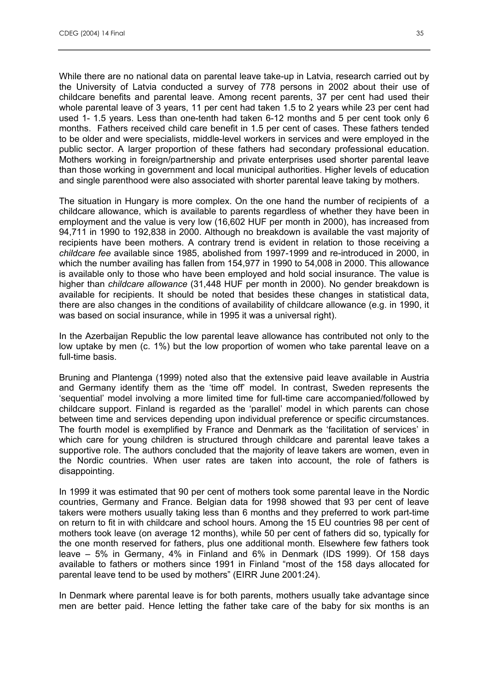While there are no national data on parental leave take-up in Latvia, research carried out by the University of Latvia conducted a survey of 778 persons in 2002 about their use of childcare benefits and parental leave. Among recent parents, 37 per cent had used their whole parental leave of 3 years, 11 per cent had taken 1.5 to 2 years while 23 per cent had used 1- 1.5 years. Less than one-tenth had taken 6-12 months and 5 per cent took only 6 months. Fathers received child care benefit in 1.5 per cent of cases. These fathers tended to be older and were specialists, middle-level workers in services and were employed in the public sector. A larger proportion of these fathers had secondary professional education. Mothers working in foreign/partnership and private enterprises used shorter parental leave than those working in government and local municipal authorities. Higher levels of education and single parenthood were also associated with shorter parental leave taking by mothers.

The situation in Hungary is more complex. On the one hand the number of recipients of a childcare allowance, which is available to parents regardless of whether they have been in employment and the value is very low (16,602 HUF per month in 2000), has increased from 94,711 in 1990 to 192,838 in 2000. Although no breakdown is available the vast majority of recipients have been mothers. A contrary trend is evident in relation to those receiving a *childcare fee* available since 1985, abolished from 1997-1999 and re-introduced in 2000, in which the number availing has fallen from 154,977 in 1990 to 54,008 in 2000. This allowance is available only to those who have been employed and hold social insurance. The value is higher than *childcare allowance* (31,448 HUF per month in 2000). No gender breakdown is available for recipients. It should be noted that besides these changes in statistical data, there are also changes in the conditions of availability of childcare allowance (e.g. in 1990, it was based on social insurance, while in 1995 it was a universal right).

In the Azerbaijan Republic the low parental leave allowance has contributed not only to the low uptake by men (c. 1%) but the low proportion of women who take parental leave on a full-time basis.

Bruning and Plantenga (1999) noted also that the extensive paid leave available in Austria and Germany identify them as the 'time off' model. In contrast, Sweden represents the 'sequential' model involving a more limited time for full-time care accompanied/followed by childcare support. Finland is regarded as the 'parallel' model in which parents can chose between time and services depending upon individual preference or specific circumstances. The fourth model is exemplified by France and Denmark as the 'facilitation of services' in which care for young children is structured through childcare and parental leave takes a supportive role. The authors concluded that the majority of leave takers are women, even in the Nordic countries. When user rates are taken into account, the role of fathers is disappointing.

In 1999 it was estimated that 90 per cent of mothers took some parental leave in the Nordic countries, Germany and France. Belgian data for 1998 showed that 93 per cent of leave takers were mothers usually taking less than 6 months and they preferred to work part-time on return to fit in with childcare and school hours. Among the 15 EU countries 98 per cent of mothers took leave (on average 12 months), while 50 per cent of fathers did so, typically for the one month reserved for fathers, plus one additional month. Elsewhere few fathers took leave – 5% in Germany, 4% in Finland and 6% in Denmark (IDS 1999). Of 158 days available to fathers or mothers since 1991 in Finland "most of the 158 days allocated for parental leave tend to be used by mothers" (EIRR June 2001:24).

In Denmark where parental leave is for both parents, mothers usually take advantage since men are better paid. Hence letting the father take care of the baby for six months is an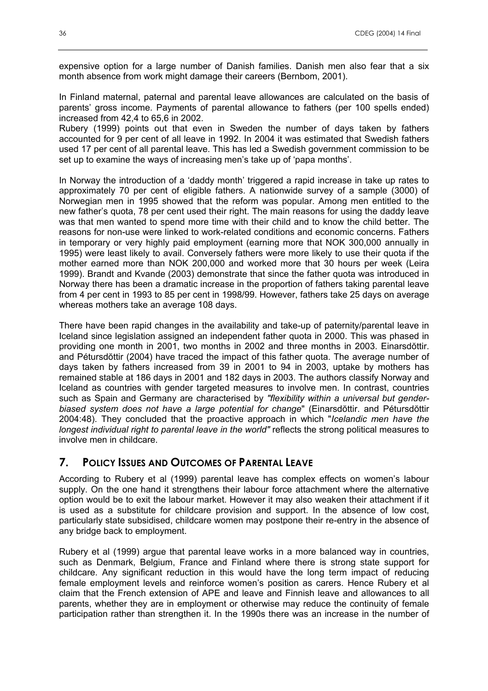expensive option for a large number of Danish families. Danish men also fear that a six month absence from work might damage their careers (Bernbom, 2001).

In Finland maternal, paternal and parental leave allowances are calculated on the basis of parents' gross income. Payments of parental allowance to fathers (per 100 spells ended) increased from 42,4 to 65,6 in 2002.

Rubery (1999) points out that even in Sweden the number of days taken by fathers accounted for 9 per cent of all leave in 1992. In 2004 it was estimated that Swedish fathers used 17 per cent of all parental leave. This has led a Swedish government commission to be set up to examine the ways of increasing men's take up of 'papa months'.

In Norway the introduction of a 'daddy month' triggered a rapid increase in take up rates to approximately 70 per cent of eligible fathers. A nationwide survey of a sample (3000) of Norwegian men in 1995 showed that the reform was popular. Among men entitled to the new father's quota, 78 per cent used their right. The main reasons for using the daddy leave was that men wanted to spend more time with their child and to know the child better. The reasons for non-use were linked to work-related conditions and economic concerns. Fathers in temporary or very highly paid employment (earning more that NOK 300,000 annually in 1995) were least likely to avail. Conversely fathers were more likely to use their quota if the mother earned more than NOK 200,000 and worked more that 30 hours per week (Leira 1999). Brandt and Kvande (2003) demonstrate that since the father quota was introduced in Norway there has been a dramatic increase in the proportion of fathers taking parental leave from 4 per cent in 1993 to 85 per cent in 1998/99. However, fathers take 25 days on average whereas mothers take an average 108 days.

There have been rapid changes in the availability and take-up of paternity/parental leave in Iceland since legislation assigned an independent father quota in 2000. This was phased in providing one month in 2001, two months in 2002 and three months in 2003. Einarsdŏttir. and Pétursdŏttir (2004) have traced the impact of this father quota. The average number of days taken by fathers increased from 39 in 2001 to 94 in 2003, uptake by mothers has remained stable at 186 days in 2001 and 182 days in 2003. The authors classify Norway and Iceland as countries with gender targeted measures to involve men. In contrast, countries such as Spain and Germany are characterised by *"flexibility within a universal but genderbiased system does not have a large potential for change*" (Einarsdŏttir. and Pétursdŏttir 2004:48). They concluded that the proactive approach in which "*Icelandic men have the longest individual right to parental leave in the world"* reflects the strong political measures to involve men in childcare.

# **7. POLICY ISSUES AND OUTCOMES OF PARENTAL LEAVE**

According to Rubery et al (1999) parental leave has complex effects on women's labour supply. On the one hand it strengthens their labour force attachment where the alternative option would be to exit the labour market. However it may also weaken their attachment if it is used as a substitute for childcare provision and support. In the absence of low cost, particularly state subsidised, childcare women may postpone their re-entry in the absence of any bridge back to employment.

Rubery et al (1999) argue that parental leave works in a more balanced way in countries, such as Denmark, Belgium, France and Finland where there is strong state support for childcare. Any significant reduction in this would have the long term impact of reducing female employment levels and reinforce women's position as carers. Hence Rubery et al claim that the French extension of APE and leave and Finnish leave and allowances to all parents, whether they are in employment or otherwise may reduce the continuity of female participation rather than strengthen it. In the 1990s there was an increase in the number of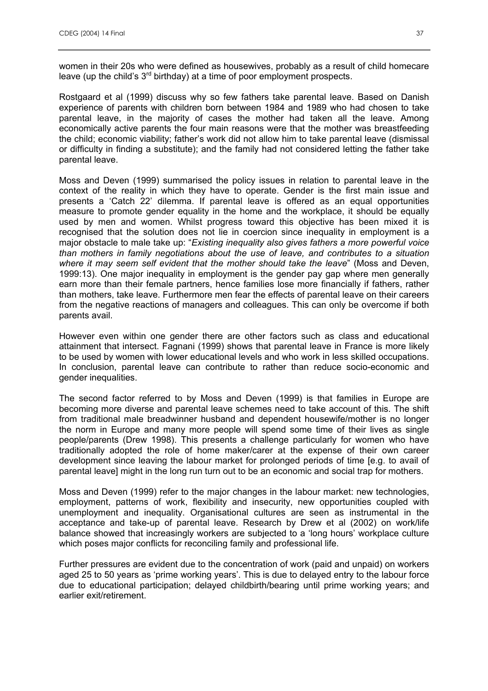women in their 20s who were defined as housewives, probably as a result of child homecare leave (up the child's  $3<sup>rd</sup>$  birthday) at a time of poor employment prospects.

Rostgaard et al (1999) discuss why so few fathers take parental leave. Based on Danish experience of parents with children born between 1984 and 1989 who had chosen to take parental leave, in the majority of cases the mother had taken all the leave. Among economically active parents the four main reasons were that the mother was breastfeeding the child; economic viability; father's work did not allow him to take parental leave (dismissal or difficulty in finding a substitute); and the family had not considered letting the father take parental leave.

Moss and Deven (1999) summarised the policy issues in relation to parental leave in the context of the reality in which they have to operate. Gender is the first main issue and presents a 'Catch 22' dilemma. If parental leave is offered as an equal opportunities measure to promote gender equality in the home and the workplace, it should be equally used by men and women. Whilst progress toward this objective has been mixed it is recognised that the solution does not lie in coercion since inequality in employment is a major obstacle to male take up: "*Existing inequality also gives fathers a more powerful voice than mothers in family negotiations about the use of leave, and contributes to a situation where it may seem self evident that the mother should take the leave*" (Moss and Deven, 1999:13). One major inequality in employment is the gender pay gap where men generally earn more than their female partners, hence families lose more financially if fathers, rather than mothers, take leave. Furthermore men fear the effects of parental leave on their careers from the negative reactions of managers and colleagues. This can only be overcome if both parents avail.

However even within one gender there are other factors such as class and educational attainment that intersect. Fagnani (1999) shows that parental leave in France is more likely to be used by women with lower educational levels and who work in less skilled occupations. In conclusion, parental leave can contribute to rather than reduce socio-economic and gender inequalities.

The second factor referred to by Moss and Deven (1999) is that families in Europe are becoming more diverse and parental leave schemes need to take account of this. The shift from traditional male breadwinner husband and dependent housewife/mother is no longer the norm in Europe and many more people will spend some time of their lives as single people/parents (Drew 1998). This presents a challenge particularly for women who have traditionally adopted the role of home maker/carer at the expense of their own career development since leaving the labour market for prolonged periods of time [e.g. to avail of parental leave] might in the long run turn out to be an economic and social trap for mothers.

Moss and Deven (1999) refer to the major changes in the labour market: new technologies, employment, patterns of work, flexibility and insecurity, new opportunities coupled with unemployment and inequality. Organisational cultures are seen as instrumental in the acceptance and take-up of parental leave. Research by Drew et al (2002) on work/life balance showed that increasingly workers are subjected to a 'long hours' workplace culture which poses major conflicts for reconciling family and professional life.

Further pressures are evident due to the concentration of work (paid and unpaid) on workers aged 25 to 50 years as 'prime working years'. This is due to delayed entry to the labour force due to educational participation; delayed childbirth/bearing until prime working years; and earlier exit/retirement.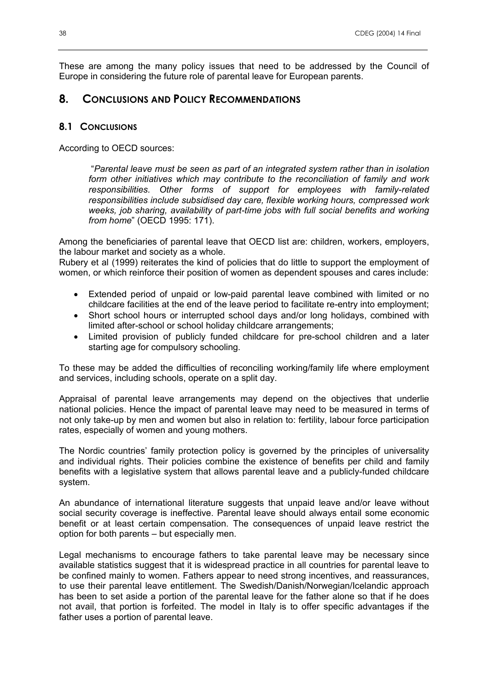These are among the many policy issues that need to be addressed by the Council of Europe in considering the future role of parental leave for European parents.

# **8. CONCLUSIONS AND POLICY RECOMMENDATIONS**

## **8.1 CONCLUSIONS**

According to OECD sources:

 "*Parental leave must be seen as part of an integrated system rather than in isolation form other initiatives which may contribute to the reconciliation of family and work responsibilities. Other forms of support for employees with family-related responsibilities include subsidised day care, flexible working hours, compressed work weeks, job sharing, availability of part-time jobs with full social benefits and working from home*" (OECD 1995: 171).

Among the beneficiaries of parental leave that OECD list are: children, workers, employers, the labour market and society as a whole.

Rubery et al (1999) reiterates the kind of policies that do little to support the employment of women, or which reinforce their position of women as dependent spouses and cares include:

- Extended period of unpaid or low-paid parental leave combined with limited or no childcare facilities at the end of the leave period to facilitate re-entry into employment;
- Short school hours or interrupted school days and/or long holidays, combined with limited after-school or school holiday childcare arrangements;
- Limited provision of publicly funded childcare for pre-school children and a later starting age for compulsory schooling.

To these may be added the difficulties of reconciling working/family life where employment and services, including schools, operate on a split day.

Appraisal of parental leave arrangements may depend on the objectives that underlie national policies. Hence the impact of parental leave may need to be measured in terms of not only take-up by men and women but also in relation to: fertility, labour force participation rates, especially of women and young mothers.

The Nordic countries' family protection policy is governed by the principles of universality and individual rights. Their policies combine the existence of benefits per child and family benefits with a legislative system that allows parental leave and a publicly-funded childcare system.

An abundance of international literature suggests that unpaid leave and/or leave without social security coverage is ineffective. Parental leave should always entail some economic benefit or at least certain compensation. The consequences of unpaid leave restrict the option for both parents – but especially men.

Legal mechanisms to encourage fathers to take parental leave may be necessary since available statistics suggest that it is widespread practice in all countries for parental leave to be confined mainly to women. Fathers appear to need strong incentives, and reassurances, to use their parental leave entitlement. The Swedish/Danish/Norwegian/Icelandic approach has been to set aside a portion of the parental leave for the father alone so that if he does not avail, that portion is forfeited. The model in Italy is to offer specific advantages if the father uses a portion of parental leave.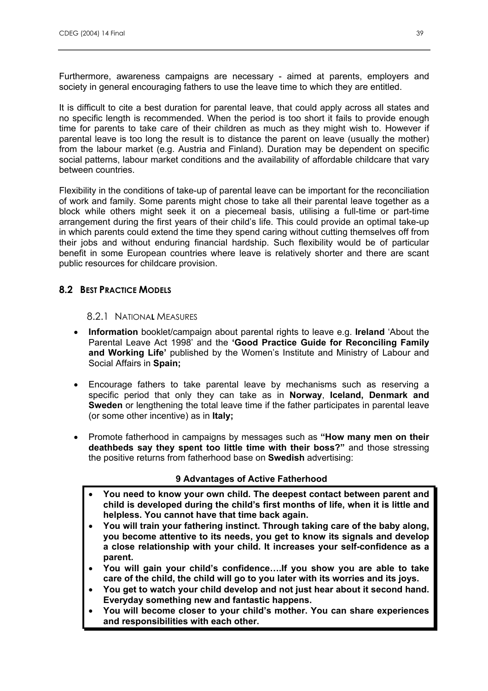Furthermore, awareness campaigns are necessary - aimed at parents, employers and society in general encouraging fathers to use the leave time to which they are entitled.

It is difficult to cite a best duration for parental leave, that could apply across all states and no specific length is recommended. When the period is too short it fails to provide enough time for parents to take care of their children as much as they might wish to. However if parental leave is too long the result is to distance the parent on leave (usually the mother) from the labour market (e.g. Austria and Finland). Duration may be dependent on specific social patterns, labour market conditions and the availability of affordable childcare that vary between countries.

Flexibility in the conditions of take-up of parental leave can be important for the reconciliation of work and family. Some parents might chose to take all their parental leave together as a block while others might seek it on a piecemeal basis, utilising a full-time or part-time arrangement during the first years of their child's life. This could provide an optimal take-up in which parents could extend the time they spend caring without cutting themselves off from their jobs and without enduring financial hardship. Such flexibility would be of particular benefit in some European countries where leave is relatively shorter and there are scant public resources for childcare provision.

## **8.2 BEST PRACTICE MODELS**

#### 8.2.1 NATIONA**L** MEASURES

- **Information** booklet/campaign about parental rights to leave e.g. **Ireland** 'About the Parental Leave Act 1998' and the **'Good Practice Guide for Reconciling Family and Working Life'** published by the Women's Institute and Ministry of Labour and Social Affairs in **Spain;**
- Encourage fathers to take parental leave by mechanisms such as reserving a specific period that only they can take as in **Norway**, **Iceland, Denmark and Sweden** or lengthening the total leave time if the father participates in parental leave (or some other incentive) as in **Italy;**
- Promote fatherhood in campaigns by messages such as **"How many men on their deathbeds say they spent too little time with their boss?"** and those stressing the positive returns from fatherhood base on **Swedish** advertising:

#### **9 Advantages of Active Fatherhood**

- **You need to know your own child. The deepest contact between parent and child is developed during the child's first months of life, when it is little and helpless. You cannot have that time back again.**
- **You will train your fathering instinct. Through taking care of the baby along, you become attentive to its needs, you get to know its signals and develop a close relationship with your child. It increases your self-confidence as a parent.**
- **You will gain your child's confidence….If you show you are able to take care of the child, the child will go to you later with its worries and its joys.**
- **You get to watch your child develop and not just hear about it second hand. Everyday something new and fantastic happens.**
- **You will become closer to your child's mother. You can share experiences and responsibilities with each other.**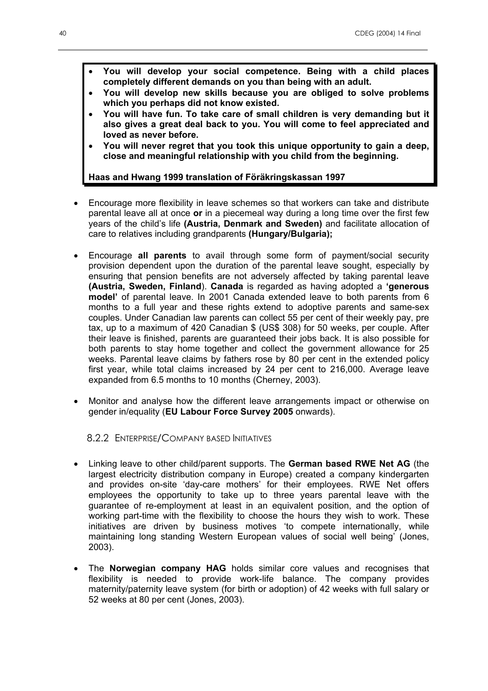- **You will develop your social competence. Being with a child places completely different demands on you than being with an adult.**
- **You will develop new skills because you are obliged to solve problems which you perhaps did not know existed.**
- **You will have fun. To take care of small children is very demanding but it also gives a great deal back to you. You will come to feel appreciated and loved as never before.**
- **You will never regret that you took this unique opportunity to gain a deep, close and meaningful relationship with you child from the beginning.**

#### **Haas and Hwang 1999 translation of Föräkringskassan 1997**

- Encourage more flexibility in leave schemes so that workers can take and distribute parental leave all at once **or** in a piecemeal way during a long time over the first few years of the child's life **(Austria, Denmark and Sweden)** and facilitate allocation of care to relatives including grandparents **(Hungary/Bulgaria);**
- Encourage **all parents** to avail through some form of payment/social security provision dependent upon the duration of the parental leave sought, especially by ensuring that pension benefits are not adversely affected by taking parental leave **(Austria, Sweden, Finland**). **Canada** is regarded as having adopted a **'generous model'** of parental leave. In 2001 Canada extended leave to both parents from 6 months to a full year and these rights extend to adoptive parents and same-sex couples. Under Canadian law parents can collect 55 per cent of their weekly pay, pre tax, up to a maximum of 420 Canadian \$ (US\$ 308) for 50 weeks, per couple. After their leave is finished, parents are guaranteed their jobs back. It is also possible for both parents to stay home together and collect the government allowance for 25 weeks. Parental leave claims by fathers rose by 80 per cent in the extended policy first year, while total claims increased by 24 per cent to 216,000. Average leave expanded from 6.5 months to 10 months (Cherney, 2003).
- Monitor and analyse how the different leave arrangements impact or otherwise on gender in/equality (**EU Labour Force Survey 2005** onwards).

## 8.2.2 ENTERPRISE/COMPANY BASED INITIATIVES

- Linking leave to other child/parent supports. The **German based RWE Net AG** (the largest electricity distribution company in Europe) created a company kindergarten and provides on-site 'day-care mothers' for their employees. RWE Net offers employees the opportunity to take up to three years parental leave with the guarantee of re-employment at least in an equivalent position, and the option of working part-time with the flexibility to choose the hours they wish to work. These initiatives are driven by business motives 'to compete internationally, while maintaining long standing Western European values of social well being' (Jones, 2003).
- The **Norwegian company HAG** holds similar core values and recognises that flexibility is needed to provide work-life balance. The company provides maternity/paternity leave system (for birth or adoption) of 42 weeks with full salary or 52 weeks at 80 per cent (Jones, 2003).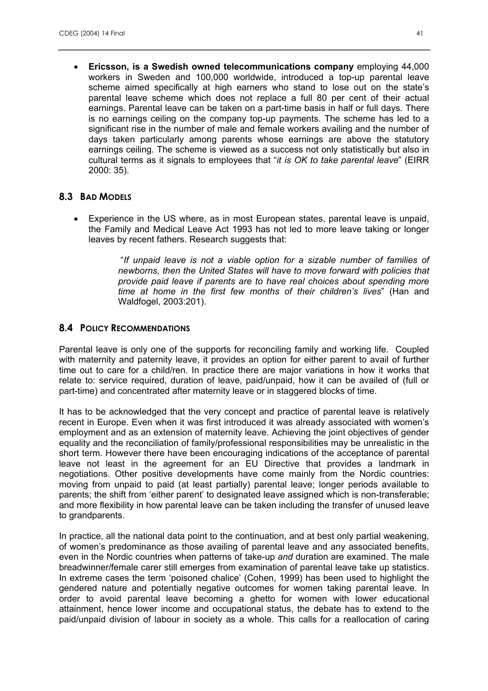• **Ericsson, is a Swedish owned telecommunications company** employing 44,000 workers in Sweden and 100,000 worldwide, introduced a top-up parental leave scheme aimed specifically at high earners who stand to lose out on the state's parental leave scheme which does not replace a full 80 per cent of their actual earnings. Parental leave can be taken on a part-time basis in half or full days. There is no earnings ceiling on the company top-up payments. The scheme has led to a significant rise in the number of male and female workers availing and the number of days taken particularly among parents whose earnings are above the statutory earnings ceiling. The scheme is viewed as a success not only statistically but also in cultural terms as it signals to employees that "*it is OK to take parental leave*" (EIRR 2000: 35).

#### **8.3 BAD MODELS**

• Experience in the US where, as in most European states, parental leave is unpaid, the Family and Medical Leave Act 1993 has not led to more leave taking or longer leaves by recent fathers. Research suggests that:

> "*If unpaid leave is not a viable option for a sizable number of families of newborns, then the United States will have to move forward with policies that provide paid leave if parents are to have real choices about spending more time at home in the first few months of their children's lives*" (Han and Waldfogel, 2003:201).

# **8.4 POLICY RECOMMENDATIONS**

Parental leave is only one of the supports for reconciling family and working life. Coupled with maternity and paternity leave, it provides an option for either parent to avail of further time out to care for a child/ren. In practice there are major variations in how it works that relate to: service required, duration of leave, paid/unpaid, how it can be availed of (full or part-time) and concentrated after maternity leave or in staggered blocks of time.

It has to be acknowledged that the very concept and practice of parental leave is relatively recent in Europe. Even when it was first introduced it was already associated with women's employment and as an extension of maternity leave. Achieving the joint objectives of gender equality and the reconciliation of family/professional responsibilities may be unrealistic in the short term. However there have been encouraging indications of the acceptance of parental leave not least in the agreement for an EU Directive that provides a landmark in negotiations. Other positive developments have come mainly from the Nordic countries: moving from unpaid to paid (at least partially) parental leave; longer periods available to parents; the shift from 'either parent' to designated leave assigned which is non-transferable; and more flexibility in how parental leave can be taken including the transfer of unused leave to grandparents.

In practice, all the national data point to the continuation, and at best only partial weakening, of women's predominance as those availing of parental leave and any associated benefits, even in the Nordic countries when patterns of take-up *and* duration are examined. The male breadwinner/female carer still emerges from examination of parental leave take up statistics. In extreme cases the term 'poisoned chalice' (Cohen, 1999) has been used to highlight the gendered nature and potentially negative outcomes for women taking parental leave. In order to avoid parental leave becoming a ghetto for women with lower educational attainment, hence lower income and occupational status, the debate has to extend to the paid/unpaid division of labour in society as a whole. This calls for a reallocation of caring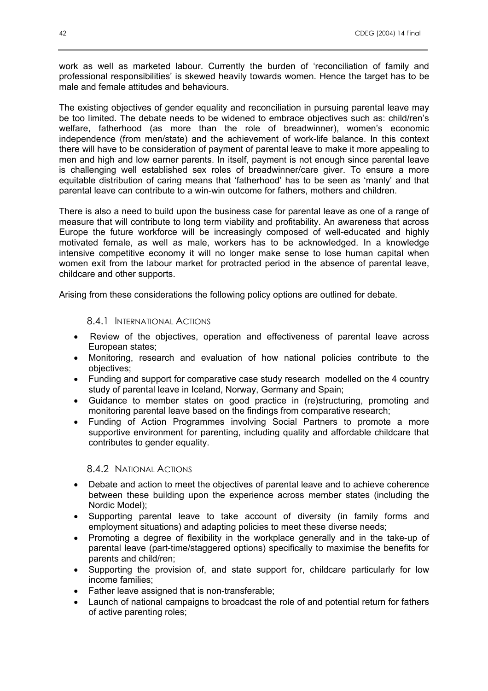work as well as marketed labour. Currently the burden of 'reconciliation of family and professional responsibilities' is skewed heavily towards women. Hence the target has to be male and female attitudes and behaviours.

The existing objectives of gender equality and reconciliation in pursuing parental leave may be too limited. The debate needs to be widened to embrace objectives such as: child/ren's welfare, fatherhood (as more than the role of breadwinner), women's economic independence (from men/state) and the achievement of work-life balance. In this context there will have to be consideration of payment of parental leave to make it more appealing to men and high and low earner parents. In itself, payment is not enough since parental leave is challenging well established sex roles of breadwinner/care giver. To ensure a more equitable distribution of caring means that 'fatherhood' has to be seen as 'manly' and that parental leave can contribute to a win-win outcome for fathers, mothers and children.

There is also a need to build upon the business case for parental leave as one of a range of measure that will contribute to long term viability and profitability. An awareness that across Europe the future workforce will be increasingly composed of well-educated and highly motivated female, as well as male, workers has to be acknowledged. In a knowledge intensive competitive economy it will no longer make sense to lose human capital when women exit from the labour market for protracted period in the absence of parental leave, childcare and other supports.

Arising from these considerations the following policy options are outlined for debate.

8.4.1 INTERNATIONAL ACTIONS

- Review of the objectives, operation and effectiveness of parental leave across European states;
- Monitoring, research and evaluation of how national policies contribute to the objectives;
- Funding and support for comparative case study research modelled on the 4 country study of parental leave in Iceland, Norway, Germany and Spain;
- Guidance to member states on good practice in (re)structuring, promoting and monitoring parental leave based on the findings from comparative research;
- Funding of Action Programmes involving Social Partners to promote a more supportive environment for parenting, including quality and affordable childcare that contributes to gender equality.

8.4.2 NATIONAL ACTIONS

- Debate and action to meet the objectives of parental leave and to achieve coherence between these building upon the experience across member states (including the Nordic Model);
- Supporting parental leave to take account of diversity (in family forms and employment situations) and adapting policies to meet these diverse needs;
- Promoting a degree of flexibility in the workplace generally and in the take-up of parental leave (part-time/staggered options) specifically to maximise the benefits for parents and child/ren;
- Supporting the provision of, and state support for, childcare particularly for low income families;
- Father leave assigned that is non-transferable;
- Launch of national campaigns to broadcast the role of and potential return for fathers of active parenting roles;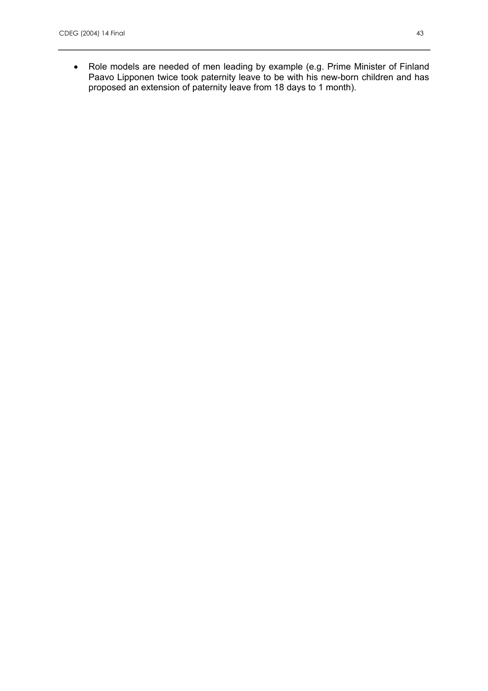• Role models are needed of men leading by example (e.g. Prime Minister of Finland Paavo Lipponen twice took paternity leave to be with his new-born children and has proposed an extension of paternity leave from 18 days to 1 month).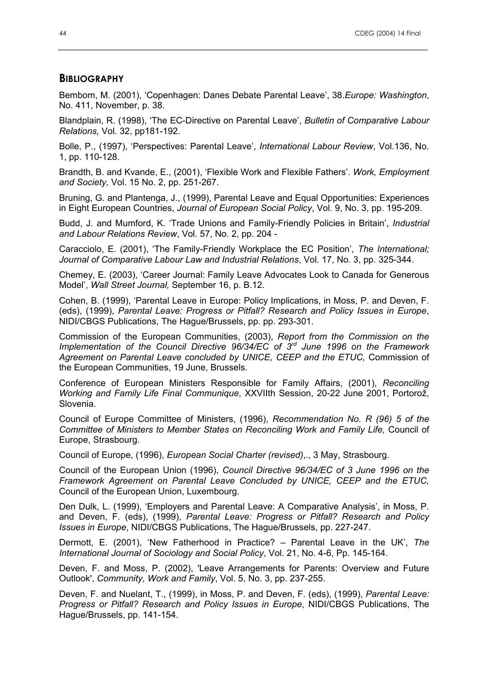#### **BIBLIOGRAPHY**

Bembom, M. (2001), 'Copenhagen: Danes Debate Parental Leave', 38.*Europe: Washington*, No. 411, November, p. 38.

Blandplain, R. (1998), 'The EC-Directive on Parental Leave', *Bulletin of Comparative Labour Relations,* Vol. 32, pp181-192.

Bolle, P., (1997), 'Perspectives: Parental Leave', *International Labour Review*, Vol.136, No. 1, pp. 110-128.

Brandth, B. and Kvande, E., (2001), 'Flexible Work and Flexible Fathers'. *Work, Employment and Society,* Vol. 15 No. 2, pp. 251-267.

Bruning, G. and Plantenga, J., (1999), Parental Leave and Equal Opportunities: Experiences in Eight European Countries, *Journal of European Social Policy*, Vol. 9, No. 3, pp. 195-209.

Budd, J. and Mumford, K. 'Trade Unions and Family-Friendly Policies in Britain', *Industrial and Labour Relations Review*, Vol. 57, No. 2, pp. 204 -

Caracciolo, E. (2001), 'The Family-Friendly Workplace the EC Position', *The International; Journal of Comparative Labour Law and Industrial Relations*, Vol. 17, No. 3, pp. 325-344.

Chemey, E. (2003), 'Career Journal: Family Leave Advocates Look to Canada for Generous Model', *Wall Street Journal,* September 16, p. B.12.

Cohen, B. (1999), 'Parental Leave in Europe: Policy Implications, in Moss, P. and Deven, F. (eds), (1999), *Parental Leave: Progress or Pitfall? Research and Policy Issues in Europe*, NIDI/CBGS Publications, The Hague/Brussels, pp. pp. 293-301.

Commission of the European Communities, (2003), *Report from the Commission on the Implementation of the Council Directive 96/34/EC of 3rd June 1996 on the Framework Agreement on Parental Leave concluded by UNICE, CEEP and the ETUC,* Commission of the European Communities, 19 June, Brussels.

Conference of European Ministers Responsible for Family Affairs, (2001), *Reconciling Working and Family Life Final Communique*, XXVIIth Session, 20-22 June 2001, Portorož, Slovenia.

Council of Europe Committee of Ministers, (1996), *Recommendation No. R (96) 5 of the Committee of Ministers to Member States on Reconciling Work and Family Life,* Council of Europe, Strasbourg.

Council of Europe, (1996), *European Social Charter (revised)*,., 3 May, Strasbourg.

Council of the European Union (1996), *Council Directive 96/34/EC of 3 June 1996 on the Framework Agreement on Parental Leave Concluded by UNICE, CEEP and the ETUC,*  Council of the European Union, Luxembourg.

Den Dulk, L. (1999), 'Employers and Parental Leave: A Comparative Analysis', in Moss, P. and Deven, F. (eds), (1999), *Parental Leave: Progress or Pitfall? Research and Policy Issues in Europe*, NIDI/CBGS Publications, The Hague/Brussels, pp. 227-247.

Dermott, E. (2001), 'New Fatherhood in Practice? – Parental Leave in the UK', *The International Journal of Sociology and Social Policy*, Vol. 21, No. 4-6, Pp. 145-164.

Deven, F. and Moss, P. (2002), 'Leave Arrangements for Parents: Overview and Future Outlook', *Community, Work and Family*, Vol. 5, No. 3, pp. 237-255.

Deven, F. and Nuelant, T., (1999), in Moss, P. and Deven, F. (eds), (1999), *Parental Leave: Progress or Pitfall? Research and Policy Issues in Europe*, NIDI/CBGS Publications, The Hague/Brussels, pp. 141-154.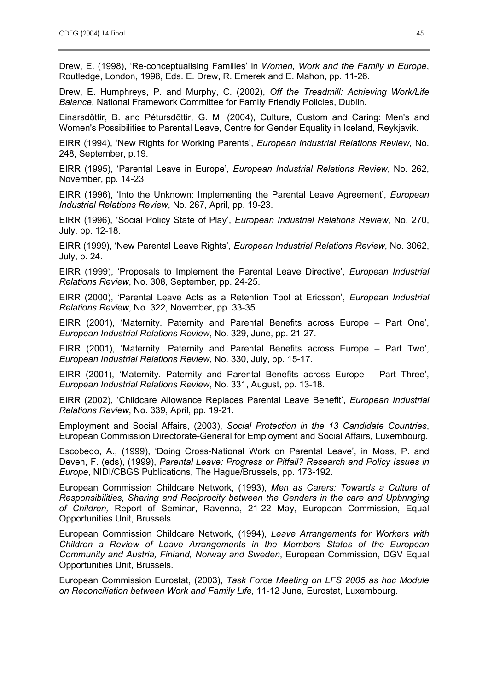Drew, E. (1998), 'Re-conceptualising Families' in *Women, Work and the Family in Europe*, Routledge, London, 1998, Eds. E. Drew, R. Emerek and E. Mahon, pp. 11-26.

Drew, E. Humphreys, P. and Murphy, C. (2002), *Off the Treadmill: Achieving Work/Life Balance*, National Framework Committee for Family Friendly Policies, Dublin.

Einarsdŏttir, B. and Pétursdŏttir, G. M. (2004), Culture, Custom and Caring: Men's and Women's Possibilities to Parental Leave, Centre for Gender Equality in Iceland, Reykjavik.

EIRR (1994), 'New Rights for Working Parents', *European Industrial Relations Review*, No. 248, September, p.19.

EIRR (1995), 'Parental Leave in Europe', *European Industrial Relations Review*, No. 262, November, pp. 14-23.

EIRR (1996), 'Into the Unknown: Implementing the Parental Leave Agreement', *European Industrial Relations Review*, No. 267, April, pp. 19-23.

EIRR (1996), 'Social Policy State of Play', *European Industrial Relations Review*, No. 270, July, pp. 12-18.

EIRR (1999), 'New Parental Leave Rights', *European Industrial Relations Review*, No. 3062, July, p. 24.

EIRR (1999), 'Proposals to Implement the Parental Leave Directive', *European Industrial Relations Review*, No. 308, September, pp. 24-25.

EIRR (2000), 'Parental Leave Acts as a Retention Tool at Ericsson', *European Industrial Relations Review*, No. 322, November, pp. 33-35.

EIRR (2001), 'Maternity. Paternity and Parental Benefits across Europe – Part One', *European Industrial Relations Review*, No. 329, June, pp. 21-27.

EIRR (2001), 'Maternity. Paternity and Parental Benefits across Europe – Part Two', *European Industrial Relations Review*, No. 330, July, pp. 15-17.

EIRR (2001), 'Maternity. Paternity and Parental Benefits across Europe – Part Three', *European Industrial Relations Review*, No. 331, August, pp. 13-18.

EIRR (2002), 'Childcare Allowance Replaces Parental Leave Benefit', *European Industrial Relations Review*, No. 339, April, pp. 19-21.

Employment and Social Affairs, (2003), *Social Protection in the 13 Candidate Countries*, European Commission Directorate-General for Employment and Social Affairs, Luxembourg.

Escobedo, A., (1999), 'Doing Cross-National Work on Parental Leave', in Moss, P. and Deven, F. (eds), (1999), *Parental Leave: Progress or Pitfall? Research and Policy Issues in Europe*, NIDI/CBGS Publications, The Hague/Brussels, pp. 173-192.

European Commission Childcare Network, (1993), *Men as Carers: Towards a Culture of Responsibilities, Sharing and Reciprocity between the Genders in the care and Upbringing of Children,* Report of Seminar, Ravenna, 21-22 May, European Commission, Equal Opportunities Unit, Brussels .

European Commission Childcare Network, (1994), *Leave Arrangements for Workers with Children a Review of Leave Arrangements in the Members States of the European Community and Austria, Finland, Norway and Sweden*, European Commission, DGV Equal Opportunities Unit, Brussels.

European Commission Eurostat, (2003), *Task Force Meeting on LFS 2005 as hoc Module on Reconciliation between Work and Family Life,* 11-12 June, Eurostat, Luxembourg.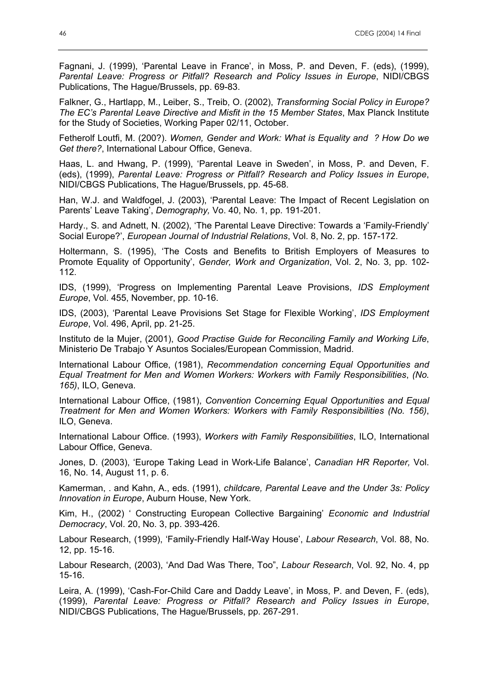Fagnani, J. (1999), 'Parental Leave in France', in Moss, P. and Deven, F. (eds), (1999), *Parental Leave: Progress or Pitfall? Research and Policy Issues in Europe*, NIDI/CBGS Publications, The Hague/Brussels, pp. 69-83.

Falkner, G., Hartlapp, M., Leiber, S., Treib, O. (2002), *Transforming Social Policy in Europe? The EC's Parental Leave Directive and Misfit in the 15 Member States*, Max Planck Institute for the Study of Societies, Working Paper 02/11, October.

Fetherolf Loutfi, M. (200?). *Women, Gender and Work: What is Equality and ? How Do we Get there?*, International Labour Office, Geneva.

Haas, L. and Hwang, P. (1999), 'Parental Leave in Sweden', in Moss, P. and Deven, F. (eds), (1999), *Parental Leave: Progress or Pitfall? Research and Policy Issues in Europe*, NIDI/CBGS Publications, The Hague/Brussels, pp. 45-68.

Han, W.J. and Waldfogel, J. (2003), 'Parental Leave: The Impact of Recent Legislation on Parents' Leave Taking', *Demography,* Vo. 40, No. 1, pp. 191-201.

Hardy., S. and Adnett, N. (2002), 'The Parental Leave Directive: Towards a 'Family-Friendly' Social Europe?', *European Journal of Industrial Relations*, Vol. 8, No. 2, pp. 157-172.

Holtermann, S. (1995), 'The Costs and Benefits to British Employers of Measures to Promote Equality of Opportunity', *Gender, Work and Organization*, Vol. 2, No. 3, pp. 102- 112.

IDS, (1999), 'Progress on Implementing Parental Leave Provisions, *IDS Employment Europe*, Vol. 455, November, pp. 10-16.

IDS, (2003), 'Parental Leave Provisions Set Stage for Flexible Working', *IDS Employment Europe*, Vol. 496, April, pp. 21-25.

Instituto de la Mujer, (2001), *Good Practise Guide for Reconciling Family and Working Life*, Ministerio De Trabajo Y Asuntos Sociales/European Commission, Madrid.

International Labour Office, (1981), *Recommendation concerning Equal Opportunities and Equal Treatment for Men and Women Workers: Workers with Family Responsibilities*, *(No. 165)*, ILO, Geneva.

International Labour Office, (1981), *Convention Concerning Equal Opportunities and Equal Treatment for Men and Women Workers: Workers with Family Responsibilities (No. 156)*, ILO, Geneva.

International Labour Office. (1993), *Workers with Family Responsibilities*, ILO, International Labour Office, Geneva.

Jones, D. (2003), 'Europe Taking Lead in Work-Life Balance', *Canadian HR Reporter,* Vol. 16, No. 14, August 11, p. 6.

Kamerman, . and Kahn, A., eds. (1991), *childcare, Parental Leave and the Under 3s: Policy Innovation in Europe*, Auburn House, New York.

Kim, H., (2002) ' Constructing European Collective Bargaining' *Economic and Industrial Democracy*, Vol. 20, No. 3, pp. 393-426.

Labour Research, (1999), 'Family-Friendly Half-Way House', *Labour Research*, Vol. 88, No. 12, pp. 15-16.

Labour Research, (2003), 'And Dad Was There, Too", *Labour Research*, Vol. 92, No. 4, pp 15-16.

Leira, A. (1999), 'Cash-For-Child Care and Daddy Leave', in Moss, P. and Deven, F. (eds), (1999), *Parental Leave: Progress or Pitfall? Research and Policy Issues in Europe*, NIDI/CBGS Publications, The Hague/Brussels, pp. 267-291.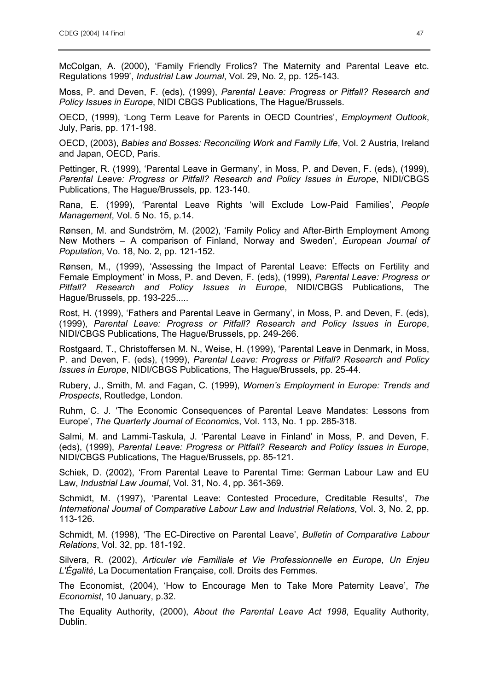McColgan, A. (2000), 'Family Friendly Frolics? The Maternity and Parental Leave etc. Regulations 1999', *Industrial Law Journal*, Vol. 29, No. 2, pp. 125-143.

Moss, P. and Deven, F. (eds), (1999), *Parental Leave: Progress or Pitfall? Research and Policy Issues in Europe*, NIDI CBGS Publications, The Hague/Brussels.

OECD, (1999), 'Long Term Leave for Parents in OECD Countries', *Employment Outlook*, July, Paris, pp. 171-198.

OECD, (2003), *Babies and Bosses: Reconciling Work and Family Life*, Vol. 2 Austria, Ireland and Japan, OECD, Paris.

Pettinger, R. (1999), 'Parental Leave in Germany', in Moss, P. and Deven, F. (eds), (1999), *Parental Leave: Progress or Pitfall? Research and Policy Issues in Europe*, NIDI/CBGS Publications, The Hague/Brussels, pp. 123-140.

Rana, E. (1999), 'Parental Leave Rights 'will Exclude Low-Paid Families', *People Management*, Vol. 5 No. 15, p.14.

Rønsen, M. and Sundström, M. (2002), 'Family Policy and After-Birth Employment Among New Mothers – A comparison of Finland, Norway and Sweden', *European Journal of Population*, Vo. 18, No. 2, pp. 121-152.

Rønsen, M., (1999), 'Assessing the Impact of Parental Leave: Effects on Fertility and Female Employment' in Moss, P. and Deven, F. (eds), (1999), *Parental Leave: Progress or Pitfall? Research and Policy Issues in Europe*, NIDI/CBGS Publications, The Hague/Brussels, pp. 193-225.....

Rost, H. (1999), 'Fathers and Parental Leave in Germany', in Moss, P. and Deven, F. (eds), (1999), *Parental Leave: Progress or Pitfall? Research and Policy Issues in Europe*, NIDI/CBGS Publications, The Hague/Brussels, pp. 249-266.

Rostgaard, T., Christoffersen M. N., Weise, H. (1999), 'Parental Leave in Denmark, in Moss, P. and Deven, F. (eds), (1999), *Parental Leave: Progress or Pitfall? Research and Policy Issues in Europe*, NIDI/CBGS Publications, The Hague/Brussels, pp. 25-44.

Rubery, J., Smith, M. and Fagan, C. (1999), *Women's Employment in Europe: Trends and Prospects*, Routledge, London.

Ruhm, C. J. 'The Economic Consequences of Parental Leave Mandates: Lessons from Europe', *The Quarterly Journal of Economic*s, Vol. 113, No. 1 pp. 285-318.

Salmi, M. and Lammi-Taskula, J. 'Parental Leave in Finland' in Moss, P. and Deven, F. (eds), (1999), *Parental Leave: Progress or Pitfall? Research and Policy Issues in Europe*, NIDI/CBGS Publications, The Hague/Brussels, pp. 85-121.

Schiek, D. (2002), 'From Parental Leave to Parental Time: German Labour Law and EU Law, *Industrial Law Journal*, Vol. 31, No. 4, pp. 361-369.

Schmidt, M. (1997), 'Parental Leave: Contested Procedure, Creditable Results', *The International Journal of Comparative Labour Law and Industrial Relations*, Vol. 3, No. 2, pp. 113-126.

Schmidt, M. (1998), 'The EC-Directive on Parental Leave', *Bulletin of Comparative Labour Relations*, Vol. 32, pp. 181-192.

Silvera, R. (2002), *Articuler vie Familiale et Vie Professionnelle en Europe, Un Enjeu L'Égalitė*, La Documentation Française, coll. Droits des Femmes.

The Economist, (2004), 'How to Encourage Men to Take More Paternity Leave', *The Economist*, 10 January, p.32.

The Equality Authority, (2000), *About the Parental Leave Act 1998*, Equality Authority, Dublin.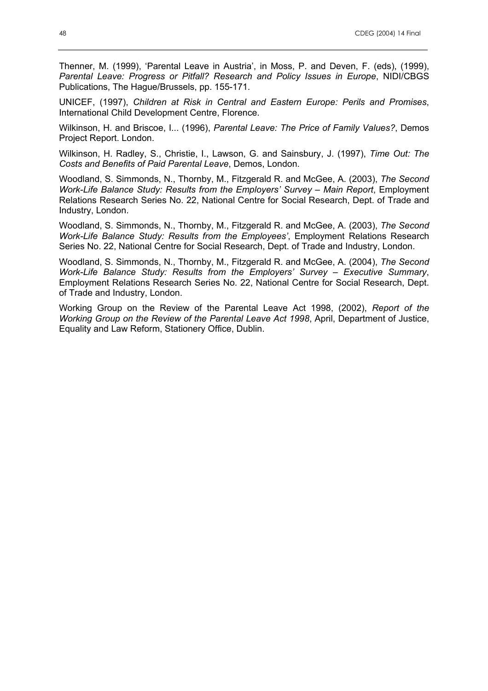Thenner, M. (1999), 'Parental Leave in Austria', in Moss, P. and Deven, F. (eds), (1999), *Parental Leave: Progress or Pitfall? Research and Policy Issues in Europe, NIDI/CBGS* Publications, The Hague/Brussels, pp. 155-171.

UNICEF, (1997), *Children at Risk in Central and Eastern Europe: Perils and Promises*, International Child Development Centre, Florence.

Wilkinson, H. and Briscoe, I... (1996), *Parental Leave: The Price of Family Values?*, Demos Project Report. London.

Wilkinson, H. Radley, S., Christie, I., Lawson, G. and Sainsbury, J. (1997), *Time Out: The Costs and Benefits of Paid Parental Leave*, Demos, London.

Woodland, S. Simmonds, N., Thornby, M., Fitzgerald R. and McGee, A. (2003), *The Second Work-Life Balance Study: Results from the Employers' Survey – Main Report*, Employment Relations Research Series No. 22, National Centre for Social Research, Dept. of Trade and Industry, London.

Woodland, S. Simmonds, N., Thornby, M., Fitzgerald R. and McGee, A. (2003), *The Second Work-Life Balance Study: Results from the Employees'*, Employment Relations Research Series No. 22, National Centre for Social Research, Dept. of Trade and Industry, London.

Woodland, S. Simmonds, N., Thornby, M., Fitzgerald R. and McGee, A. (2004), *The Second Work-Life Balance Study: Results from the Employers' Survey – Executive Summary*, Employment Relations Research Series No. 22, National Centre for Social Research, Dept. of Trade and Industry, London.

Working Group on the Review of the Parental Leave Act 1998, (2002), *Report of the Working Group on the Review of the Parental Leave Act 1998*, April, Department of Justice, Equality and Law Reform, Stationery Office, Dublin.